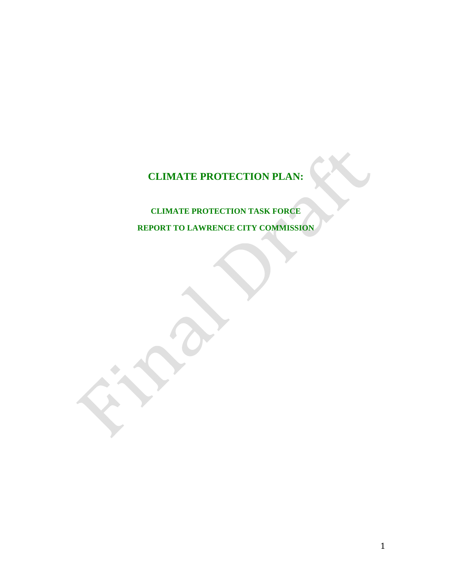# **CLIMATE PROTECTION PLAN:**

## **CLIMATE PROTECTION TASK FORCE REPORT TO LAWRENCE CITY COMMISSION**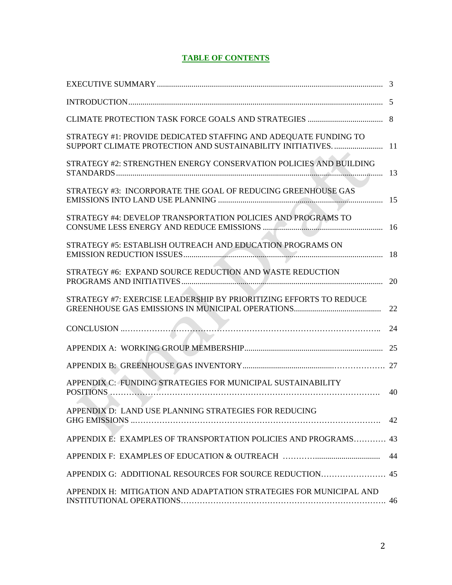## **TABLE OF CONTENTS**

| $\label{eq:1} \textbf{INTRODUCTION}.\textcolor{red}{\textbf{1}}\textbf{N} \textbf{T} \textbf{R} \textbf{O} \textbf{D} \textbf{U} \textbf{C} \textbf{T} \textbf{I} \textbf{O} \textbf{N} \textbf{.} \textcolor{red}{\textbf{1} \textbf{1} \textbf{1} \textbf{2} \textbf{3} \textbf{3} \textbf{4} \textbf{4} \textbf{5} \textbf{5} \textbf{6} \textbf{6} \textbf{6} \textbf{7} \textbf{1} \textbf{2} \textbf{1} \textbf{2} \textbf{3} \textbf$ | - 5 |
|----------------------------------------------------------------------------------------------------------------------------------------------------------------------------------------------------------------------------------------------------------------------------------------------------------------------------------------------------------------------------------------------------------------------------------------------|-----|
|                                                                                                                                                                                                                                                                                                                                                                                                                                              |     |
| STRATEGY #1: PROVIDE DEDICATED STAFFING AND ADEQUATE FUNDING TO<br>SUPPORT CLIMATE PROTECTION AND SUSTAINABILITY INITIATIVES                                                                                                                                                                                                                                                                                                                 | 11  |
| STRATEGY #2: STRENGTHEN ENERGY CONSERVATION POLICIES AND BUILDING                                                                                                                                                                                                                                                                                                                                                                            | -13 |
| STRATEGY #3: INCORPORATE THE GOAL OF REDUCING GREENHOUSE GAS                                                                                                                                                                                                                                                                                                                                                                                 | 15  |
| STRATEGY #4: DEVELOP TRANSPORTATION POLICIES AND PROGRAMS TO                                                                                                                                                                                                                                                                                                                                                                                 | 16  |
| STRATEGY #5: ESTABLISH OUTREACH AND EDUCATION PROGRAMS ON                                                                                                                                                                                                                                                                                                                                                                                    | 18  |
| STRATEGY #6: EXPAND SOURCE REDUCTION AND WASTE REDUCTION                                                                                                                                                                                                                                                                                                                                                                                     | 20  |
| STRATEGY #7: EXERCISE LEADERSHIP BY PRIORITIZING EFFORTS TO REDUCE                                                                                                                                                                                                                                                                                                                                                                           | 22  |
|                                                                                                                                                                                                                                                                                                                                                                                                                                              | 24  |
|                                                                                                                                                                                                                                                                                                                                                                                                                                              | 25  |
|                                                                                                                                                                                                                                                                                                                                                                                                                                              |     |
| APPENDIX C: FUNDING STRATEGIES FOR MUNICIPAL SUSTAINABILITY                                                                                                                                                                                                                                                                                                                                                                                  | 40  |
| APPENDIX D: LAND USE PLANNING STRATEGIES FOR REDUCING                                                                                                                                                                                                                                                                                                                                                                                        |     |
| APPENDIX E: EXAMPLES OF TRANSPORTATION POLICIES AND PROGRAMS 43                                                                                                                                                                                                                                                                                                                                                                              |     |
|                                                                                                                                                                                                                                                                                                                                                                                                                                              | 44  |
|                                                                                                                                                                                                                                                                                                                                                                                                                                              |     |
| APPENDIX H: MITIGATION AND ADAPTATION STRATEGIES FOR MUNICIPAL AND                                                                                                                                                                                                                                                                                                                                                                           |     |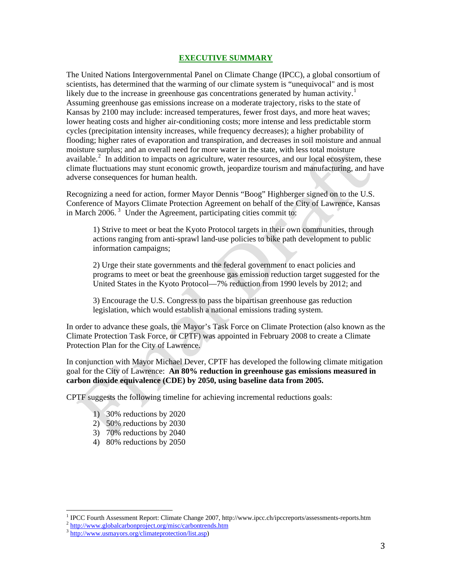#### **EXECUTIVE SUMMARY**

<span id="page-2-0"></span>The United Nations Intergovernmental Panel on Climate Change (IPCC), a global consortium of scientists, has determined that the warming of our climate system is "unequivocal" and is most likely due to the increase in greenhouse gas concentrations generated by human activity.<sup>[1](#page-2-1)</sup> Assuming greenhouse gas emissions increase on a moderate trajectory, risks to the state of Kansas by 2100 may include: increased temperatures, fewer frost days, and more heat waves; lower heating costs and higher air-conditioning costs; more intense and less predictable storm cycles (precipitation intensity increases, while frequency decreases); a higher probability of flooding; higher rates of evaporation and transpiration, and decreases in soil moisture and annual moisture surplus; and an overall need for more water in the state, with less total moisture available. $2 \text{ In addition to impacts on agriculture, water resources, and our local ecosystem, these}$  $2 \text{ In addition to impacts on agriculture, water resources, and our local ecosystem, these}$ climate fluctuations may stunt economic growth, jeopardize tourism and manufacturing, and have adverse consequences for human health.

Recognizing a need for action, former Mayor Dennis "Boog" Highberger signed on to the U.S. Conference of Mayors Climate Protection Agreement on behalf of the City of Lawrence, Kansas in March 2006.<sup>[3](#page-2-3)</sup> Under the Agreement, participating cities commit to:

1) Strive to meet or beat the Kyoto Protocol targets in their own communities, through actions ranging from anti-sprawl land-use policies to bike path development to public information campaigns;

2) Urge their state governments and the federal government to enact policies and programs to meet or beat the greenhouse gas emission reduction target suggested for the United States in the Kyoto Protocol—7% reduction from 1990 levels by 2012; and

3) Encourage the U.S. Congress to pass the bipartisan greenhouse gas reduction legislation, which would establish a national emissions trading system.

In order to advance these goals, the Mayor's Task Force on Climate Protection (also known as the Climate Protection Task Force, or CPTF) was appointed in February 2008 to create a Climate Protection Plan for the City of Lawrence.

In conjunction with Mayor Michael Dever, CPTF has developed the following climate mitigation goal for the City of Lawrence: **An 80% reduction in greenhouse gas emissions measured in carbon dioxide equivalence (CDE) by 2050, using baseline data from 2005.** 

CPTF suggests the following timeline for achieving incremental reductions goals:

- 1) 30% reductions by 2020
- 2) 50% reductions by 2030
- 3) 70% reductions by 2040
- 4) 80% reductions by 2050

<sup>&</sup>lt;sup>1</sup> IPCC Fourth Assessment Report: Climate Change 2007, http://www.ipcc.ch/ipccreports/assessments-reports.htm <sup>2</sup> <http://www.globalcarbonproject.org/misc/carbontrends.htm> 3 http://www.usmayors.org/climateprotection/list.a

<span id="page-2-3"></span><span id="page-2-2"></span><span id="page-2-1"></span>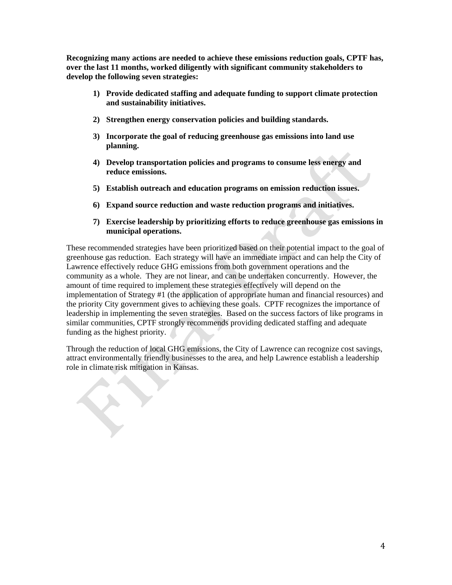**Recognizing many actions are needed to achieve these emissions reduction goals, CPTF has, over the last 11 months, worked diligently with significant community stakeholders to develop the following seven strategies:**

- **1) Provide dedicated staffing and adequate funding to support climate protection and sustainability initiatives.**
- **2) Strengthen energy conservation policies and building standards.**
- **3) Incorporate the goal of reducing greenhouse gas emissions into land use planning.**
- **4) Develop transportation policies and programs to consume less energy and reduce emissions.**
- **5) Establish outreach and education programs on emission reduction issues.**
- **6) Expand source reduction and waste reduction programs and initiatives.**
- **7) Exercise leadership by prioritizing efforts to reduce greenhouse gas emissions in municipal operations.**

These recommended strategies have been prioritized based on their potential impact to the goal of greenhouse gas reduction. Each strategy will have an immediate impact and can help the City of Lawrence effectively reduce GHG emissions from both government operations and the community as a whole. They are not linear, and can be undertaken concurrently. However, the amount of time required to implement these strategies effectively will depend on the implementation of Strategy #1 (the application of appropriate human and financial resources) and the priority City government gives to achieving these goals. CPTF recognizes the importance of leadership in implementing the seven strategies. Based on the success factors of like programs in similar communities, CPTF strongly recommends providing dedicated staffing and adequate funding as the highest priority.

Through the reduction of local GHG emissions, the City of Lawrence can recognize cost savings, attract environmentally friendly businesses to the area, and help Lawrence establish a leadership role in climate risk mitigation in Kansas.

 $\mathcal{L}$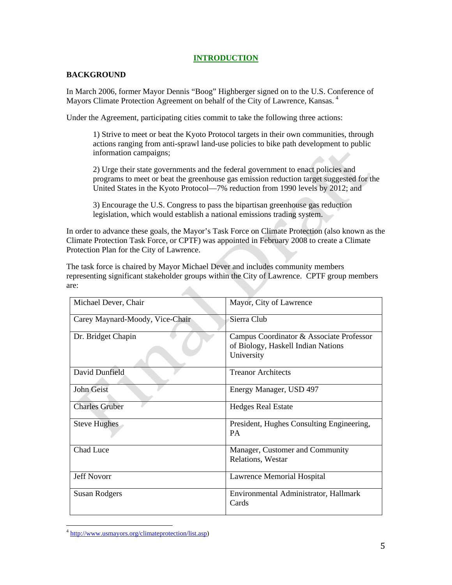## **INTRODUCTION**

## <span id="page-4-0"></span>**BACKGROUND**

In March 2006, former Mayor Dennis "Boog" Highberger signed on to the U.S. Conference of Mayors Climate Protection Agreement on behalf of the City of Lawrence, Kansas.<sup>[4](#page-4-0)</sup>

Under the Agreement, participating cities commit to take the following three actions:

1) Strive to meet or beat the Kyoto Protocol targets in their own communities, through actions ranging from anti-sprawl land-use policies to bike path development to public information campaigns;

2) Urge their state governments and the federal government to enact policies and programs to meet or beat the greenhouse gas emission reduction target suggested for the United States in the Kyoto Protocol—7% reduction from 1990 levels by 2012; and

3) Encourage the U.S. Congress to pass the bipartisan greenhouse gas reduction legislation, which would establish a national emissions trading system.

In order to advance these goals, the Mayor's Task Force on Climate Protection (also known as the Climate Protection Task Force, or CPTF) was appointed in February 2008 to create a Climate Protection Plan for the City of Lawrence.

The task force is chaired by Mayor Michael Dever and includes community members representing significant stakeholder groups within the City of Lawrence. CPTF group members are: Æ.

| Michael Dever, Chair            | Mayor, City of Lawrence                                                                      |
|---------------------------------|----------------------------------------------------------------------------------------------|
| Carey Maynard-Moody, Vice-Chair | Sierra Club                                                                                  |
| Dr. Bridget Chapin              | Campus Coordinator & Associate Professor<br>of Biology, Haskell Indian Nations<br>University |
| David Dunfield                  | <b>Treanor Architects</b>                                                                    |
| John Geist                      | Energy Manager, USD 497                                                                      |
| <b>Charles Gruber</b>           | <b>Hedges Real Estate</b>                                                                    |
| <b>Steve Hughes</b>             | President, Hughes Consulting Engineering,<br><b>PA</b>                                       |
| Chad Luce                       | Manager, Customer and Community<br>Relations, Westar                                         |
| <b>Jeff Novorr</b>              | Lawrence Memorial Hospital                                                                   |
| <b>Susan Rodgers</b>            | Environmental Administrator, Hallmark<br>Cards                                               |

<sup>&</sup>lt;sup>4</sup> <http://www.usmayors.org/climateprotection/list.asp>)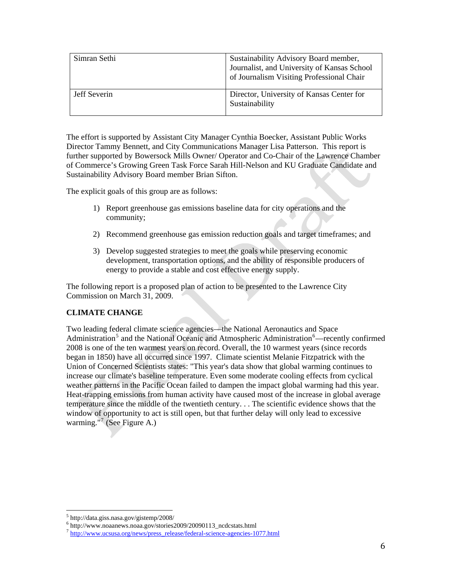<span id="page-5-0"></span>

| Simran Sethi | Sustainability Advisory Board member,<br>Journalist, and University of Kansas School<br>of Journalism Visiting Professional Chair |
|--------------|-----------------------------------------------------------------------------------------------------------------------------------|
| Jeff Severin | Director, University of Kansas Center for<br>Sustainability                                                                       |

The effort is supported by Assistant City Manager Cynthia Boecker, Assistant Public Works Director Tammy Bennett, and City Communications Manager Lisa Patterson. This report is further supported by Bowersock Mills Owner/ Operator and Co-Chair of the Lawrence Chamber of Commerce's Growing Green Task Force Sarah Hill-Nelson and KU Graduate Candidate and Sustainability Advisory Board member Brian Sifton.

The explicit goals of this group are as follows:

- 1) Report greenhouse gas emissions baseline data for city operations and the community;
- 2) Recommend greenhouse gas emission reduction goals and target timeframes; and
- 3) Develop suggested strategies to meet the goals while preserving economic development, transportation options, and the ability of responsible producers of energy to provide a stable and cost effective energy supply.

The following report is a proposed plan of action to be presented to the Lawrence City Commission on March 31, 2009.

## **CLIMATE CHANGE**

Two leading federal climate science agencies—the National Aeronautics and Space Administration<sup>[5](#page-5-0)</sup> and the National Oceanic and Atmospheric Administration<sup>[6](#page-5-0)</sup>—recently confirmed 2008 is one of the ten warmest years on record. Overall, the 10 warmest years (since records began in 1850) have all occurred since 1997. Climate scientist Melanie Fitzpatrick with the Union of Concerned Scientists states: "This year's data show that global warming continues to increase our climate's baseline temperature. Even some moderate cooling effects from cyclical weather patterns in the Pacific Ocean failed to dampen the impact global warming had this year. Heat-trapping emissions from human activity have caused most of the increase in global average temperature since the middle of the twentieth century. . . The scientific evidence shows that the window of opportunity to act is still open, but that further delay will only lead to excessive warming."<sup>[7](#page-5-0)</sup> (See Figure A.)

  $^{5}$  http://data.giss.nasa.gov/gistemp/2008/

<sup>%</sup> http://www.noaanews.noaa.gov/stories2009/20090113\_ncdcstats.html  $^7$  [http://www.ucsusa.org/news/press\\_release/federal-science-agencies-1077.html](http://www.ucsusa.org/news/press_release/federal-science-agencies-1077.html)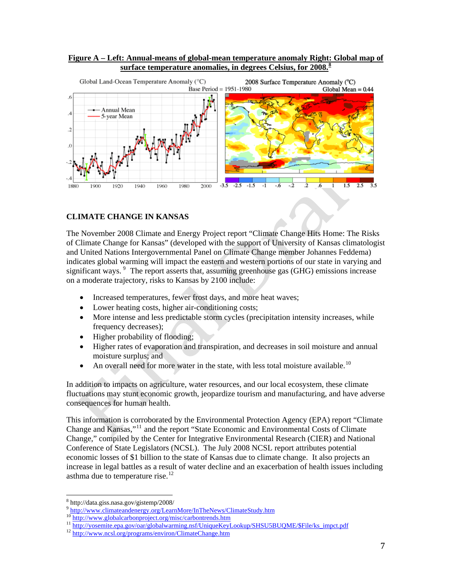## <span id="page-6-0"></span>**Figure A – Left: Annual-means of global-mean temperature anomaly Right: Global map of surface temperature anomalies, in degrees Celsius, for 2008.[8](#page-6-0)**



## **CLIMATE CHANGE IN KANSAS**

The November 2008 Climate and Energy Project report "Climate Change Hits Home: The Risks of Climate Change for Kansas" (developed with the support of University of Kansas climatologist and United Nations Intergovernmental Panel on Climate Change member Johannes Feddema) indicates global warming will impact the eastern and western portions of our state in varying and significant ways.<sup>[9](#page-6-0)</sup> The report asserts that, assuming greenhouse gas (GHG) emissions increase on a moderate trajectory, risks to Kansas by 2100 include:

- Increased temperatures, fewer frost days, and more heat waves;
- Lower heating costs, higher air-conditioning costs;
- More intense and less predictable storm cycles (precipitation intensity increases, while frequency decreases);
- Higher probability of flooding;
- Higher rates of evaporation and transpiration, and decreases in soil moisture and annual moisture surplus; and
- An overall need for more water in the state, with less total moisture available.<sup>[10](#page-6-0)</sup>

In addition to impacts on agriculture, water resources, and our local ecosystem, these climate fluctuations may stunt economic growth, jeopardize tourism and manufacturing, and have adverse consequences for human health.

This information is corroborated by the Environmental Protection Agency (EPA) report "Climate Change and Kansas,"[11](#page-6-0) and the report "State Economic and Environmental Costs of Climate Change," compiled by the Center for Integrative Environmental Research (CIER) and National Conference of State Legislators (NCSL). The July 2008 NCSL report attributes potential economic losses of \$1 billion to the state of Kansas due to climate change. It also projects an increase in legal battles as a result of water decline and an exacerbation of health issues including asthma due to temperature rise.<sup>12</sup>

 <sup>8</sup> http://data.giss.nasa.gov/gistemp/2008/

<http://www.climateandenergy.org/LearnMore/InTheNews/ClimateStudy.htm><br>
<sup>10</sup> http://www.<u>clobalcarbonproject.org/misc/carbontrends.htm</u>

<sup>&</sup>lt;sup>11</sup> [http://yosemite.epa.gov/oar/globalwarming.nsf/UniqueKeyLookup/SHSU5BUQME/\\$File/ks\\_impct.pdf](http://yosemite.epa.gov/oar/globalwarming.nsf/UniqueKeyLookup/SHSU5BUQME/$File/ks_impct.pdf)<br><sup>12</sup> http://www.ncsl.org/programs/environ/ClimateChange.htm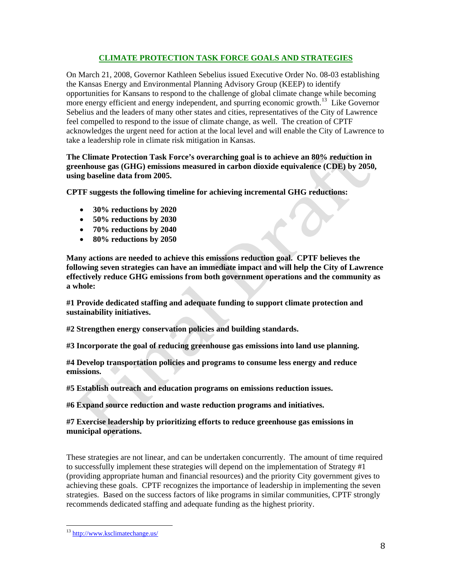## **CLIMATE PROTECTION TASK FORCE GOALS AND STRATEGIES**

<span id="page-7-0"></span>On March 21, 2008, Governor Kathleen Sebelius issued Executive Order No. 08-03 establishing the Kansas Energy and Environmental Planning Advisory Group (KEEP) to identify opportunities for Kansans to respond to the challenge of global climate change while becoming more energy efficient and energy independent, and spurring economic growth.<sup>[13](#page-7-0)</sup> Like Governor Sebelius and the leaders of many other states and cities, representatives of the City of Lawrence feel compelled to respond to the issue of climate change, as well. The creation of CPTF acknowledges the urgent need for action at the local level and will enable the City of Lawrence to take a leadership role in climate risk mitigation in Kansas.

**The Climate Protection Task Force's overarching goal is to achieve an 80% reduction in greenhouse gas (GHG) emissions measured in carbon dioxide equivalence (CDE) by 2050, using baseline data from 2005.** 

**CPTF suggests the following timeline for achieving incremental GHG reductions:** 

- **30% reductions by 2020**
- **50% reductions by 2030**
- **70% reductions by 2040**
- **80% reductions by 2050**

**Many actions are needed to achieve this emissions reduction goal. CPTF believes the following seven strategies can have an immediate impact and will help the City of Lawrence effectively reduce GHG emissions from both government operations and the community as a whole:** 

**#1 Provide dedicated staffing and adequate funding to support climate protection and sustainability initiatives.** 

**#2 Strengthen energy conservation policies and building standards.** 

**#3 Incorporate the goal of reducing greenhouse gas emissions into land use planning.** 

**#4 Develop transportation policies and programs to consume less energy and reduce emissions.** 

**#5 Establish outreach and education programs on emissions reduction issues.** 

**#6 Expand source reduction and waste reduction programs and initiatives.** 

**#7 Exercise leadership by prioritizing efforts to reduce greenhouse gas emissions in municipal operations.** 

These strategies are not linear, and can be undertaken concurrently. The amount of time required to successfully implement these strategies will depend on the implementation of Strategy #1 (providing appropriate human and financial resources) and the priority City government gives to achieving these goals. CPTF recognizes the importance of leadership in implementing the seven strategies. Based on the success factors of like programs in similar communities, CPTF strongly recommends dedicated staffing and adequate funding as the highest priority.

 <sup>13</sup> <http://www.ksclimatechange.us/>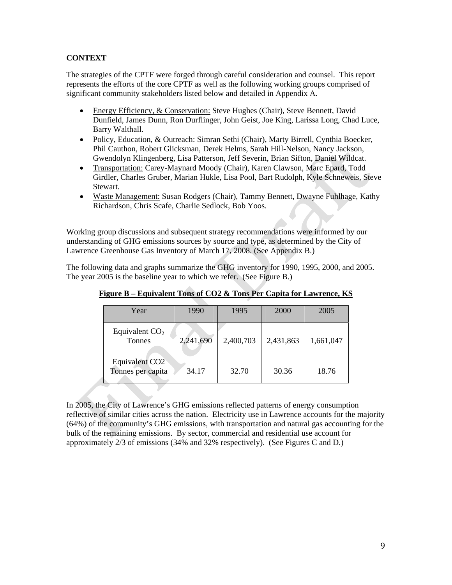## **CONTEXT**

The strategies of the CPTF were forged through careful consideration and counsel. This report represents the efforts of the core CPTF as well as the following working groups comprised of significant community stakeholders listed below and detailed in Appendix A.

- Energy Efficiency, & Conservation: Steve Hughes (Chair), Steve Bennett, David Dunfield, James Dunn, Ron Durflinger, John Geist, Joe King, Larissa Long, Chad Luce, Barry Walthall.
- Policy, Education, & Outreach: Simran Sethi (Chair), Marty Birrell, Cynthia Boecker, Phil Cauthon, Robert Glicksman, Derek Helms, Sarah Hill-Nelson, Nancy Jackson, Gwendolyn Klingenberg, Lisa Patterson, Jeff Severin, Brian Sifton, Daniel Wildcat.
- Transportation: Carey-Maynard Moody (Chair), Karen Clawson, Marc Epard, Todd Girdler, Charles Gruber, Marian Hukle, Lisa Pool, Bart Rudolph, Kyle Schneweis, Steve Stewart.
- Waste Management: Susan Rodgers (Chair), Tammy Bennett, Dwayne Fuhlhage, Kathy Richardson, Chris Scafe, Charlie Sedlock, Bob Yoos.

Working group discussions and subsequent strategy recommendations were informed by our understanding of GHG emissions sources by source and type, as determined by the City of Lawrence Greenhouse Gas Inventory of March 17, 2008. (See Appendix B.)

The following data and graphs summarize the GHG inventory for 1990, 1995, 2000, and 2005. The year 2005 is the baseline year to which we refer. (See Figure B.)

| Year                                            | 1990      | 1995      | 2000      | 2005      |
|-------------------------------------------------|-----------|-----------|-----------|-----------|
| Equivalent $CO2$<br>Tonnes                      | 2,241,690 | 2,400,703 | 2,431,863 | 1,661,047 |
| Equivalent CO <sub>2</sub><br>Tonnes per capita | 34.17     | 32.70     | 30.36     | 18.76     |

**Figure B – Equivalent Tons of CO2 & Tons Per Capita for Lawrence, KS**

In 2005, the City of Lawrence's GHG emissions reflected patterns of energy consumption reflective of similar cities across the nation. Electricity use in Lawrence accounts for the majority (64%) of the community's GHG emissions, with transportation and natural gas accounting for the bulk of the remaining emissions. By sector, commercial and residential use account for approximately 2/3 of emissions (34% and 32% respectively). (See Figures C and D.)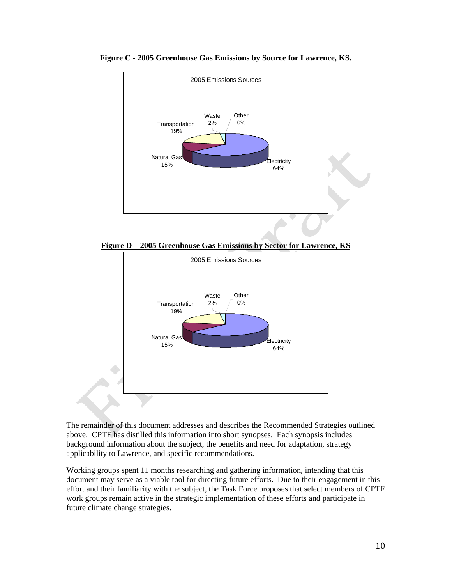

**Figure C - 2005 Greenhouse Gas Emissions by Source for Lawrence, KS.**





The remainder of this document addresses and describes the Recommended Strategies outlined above. CPTF has distilled this information into short synopses. Each synopsis includes background information about the subject, the benefits and need for adaptation, strategy applicability to Lawrence, and specific recommendations.

Working groups spent 11 months researching and gathering information, intending that this document may serve as a viable tool for directing future efforts. Due to their engagement in this effort and their familiarity with the subject, the Task Force proposes that select members of CPTF work groups remain active in the strategic implementation of these efforts and participate in future climate change strategies.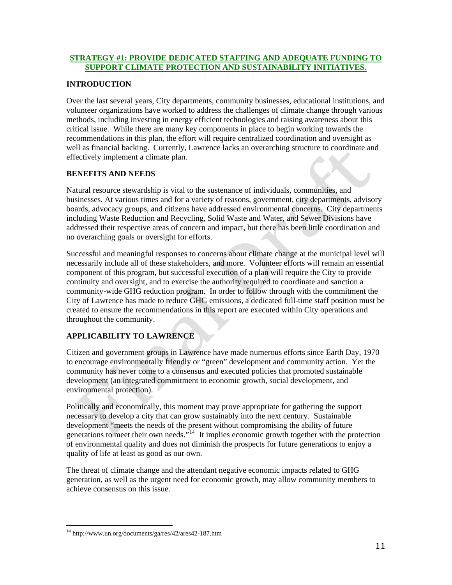## <span id="page-10-0"></span>**STRATEGY #1: PROVIDE DEDICATED STAFFING AND ADEQUATE FUNDING TO SUPPORT CLIMATE PROTECTION AND SUSTAINABILITY INITIATIVES.**

## **INTRODUCTION**

Over the last several years, City departments, community businesses, educational institutions, and volunteer organizations have worked to address the challenges of climate change through various methods, including investing in energy efficient technologies and raising awareness about this critical issue. While there are many key components in place to begin working towards the recommendations in this plan, the effort will require centralized coordination and oversight as well as financial backing. Currently, Lawrence lacks an overarching structure to coordinate and effectively implement a climate plan.

## **BENEFITS AND NEEDS**

Natural resource stewardship is vital to the sustenance of individuals, communities, and businesses. At various times and for a variety of reasons, government, city departments, advisory boards, advocacy groups, and citizens have addressed environmental concerns. City departments including Waste Reduction and Recycling, Solid Waste and Water, and Sewer Divisions have addressed their respective areas of concern and impact, but there has been little coordination and no overarching goals or oversight for efforts.

Successful and meaningful responses to concerns about climate change at the municipal level will necessarily include all of these stakeholders, and more. Volunteer efforts will remain an essential component of this program, but successful execution of a plan will require the City to provide continuity and oversight, and to exercise the authority required to coordinate and sanction a community-wide GHG reduction program. In order to follow through with the commitment the City of Lawrence has made to reduce GHG emissions, a dedicated full-time staff position must be created to ensure the recommendations in this report are executed within City operations and throughout the community.

## **APPLICABILITY TO LAWRENCE**

Citizen and government groups in Lawrence have made numerous efforts since Earth Day, 1970 to encourage environmentally friendly or "green" development and community action. Yet the community has never come to a consensus and executed policies that promoted sustainable development (an integrated commitment to economic growth, social development, and environmental protection).

Politically and economically, this moment may prove appropriate for gathering the support necessary to develop a city that can grow sustainably into the next century. Sustainable development "meets the needs of the present without compromising the ability of future generations to meet their own needs."<sup>[14](#page-10-0)</sup> It implies economic growth together with the protection of environmental quality and does not diminish the prospects for future generations to enjoy a quality of life at least as good as our own.

The threat of climate change and the attendant negative economic impacts related to GHG generation, as well as the urgent need for economic growth, may allow community members to achieve consensus on this issue.

 14 http://www.un.org/documents/ga/res/42/ares42-187.htm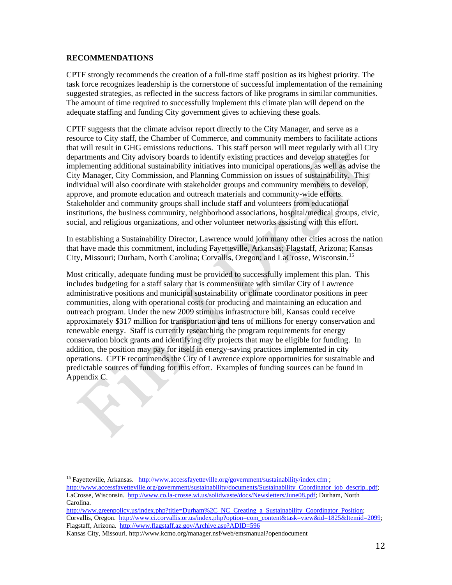#### <span id="page-11-0"></span>**RECOMMENDATIONS**

CPTF strongly recommends the creation of a full-time staff position as its highest priority. The task force recognizes leadership is the cornerstone of successful implementation of the remaining suggested strategies, as reflected in the success factors of like programs in similar communities. The amount of time required to successfully implement this climate plan will depend on the adequate staffing and funding City government gives to achieving these goals.

CPTF suggests that the climate advisor report directly to the City Manager, and serve as a resource to City staff, the Chamber of Commerce, and community members to facilitate actions that will result in GHG emissions reductions. This staff person will meet regularly with all City departments and City advisory boards to identify existing practices and develop strategies for implementing additional sustainability initiatives into municipal operations, as well as advise the City Manager, City Commission, and Planning Commission on issues of sustainability. This individual will also coordinate with stakeholder groups and community members to develop, approve, and promote education and outreach materials and community-wide efforts. Stakeholder and community groups shall include staff and volunteers from educational institutions, the business community, neighborhood associations, hospital/medical groups, civic, social, and religious organizations, and other volunteer networks assisting with this effort.

In establishing a Sustainability Director, Lawrence would join many other cities across the nation that have made this commitment, including Fayetteville, Arkansas; Flagstaff, Arizona; Kansas City, Missouri; Durham, North Carolina; Corvallis, Oregon; and LaCrosse, Wisconsin.[15](#page-11-0)

Most critically, adequate funding must be provided to successfully implement this plan. This includes budgeting for a staff salary that is commensurate with similar City of Lawrence administrative positions and municipal sustainability or climate coordinator positions in peer communities, along with operational costs for producing and maintaining an education and outreach program. Under the new 2009 stimulus infrastructure bill, Kansas could receive approximately \$317 million for transportation and tens of millions for energy conservation and renewable energy. Staff is currently researching the program requirements for energy conservation block grants and identifying city projects that may be eligible for funding. In addition, the position may pay for itself in energy-saving practices implemented in city operations. CPTF recommends the City of Lawrence explore opportunities for sustainable and predictable sources of funding for this effort. Examples of funding sources can be found in Appendix C.

<sup>&</sup>lt;sup>15</sup> Fayetteville, Arkansas. http://www.accessfayetteville.org/government/sustainability/index.cfm;

[http://www.accessfayetteville.org/government/sustainability/documents/Sustainability\\_Coordinator\\_job\\_descrip..pdf](http://www.accessfayetteville.org/government/sustainability/documents/Sustainability_Coordinator_job_descrip..pdf); LaCrosse, Wisconsin. [http://www.co.la-crosse.wi.us/solidwaste/docs/Newsletters/June08.pdf;](http://www.co.la-crosse.wi.us/solidwaste/docs/Newsletters/June08.pdf) Durham, North Carolina.

[http://www.greenpolicy.us/index.php?title=Durham%2C\\_NC\\_Creating\\_a\\_Sustainability\\_Coordinator\\_Position;](http://www.greenpolicy.us/index.php?title=Durham%2C_NC_Creating_a_Sustainability_Coordinator_Position) Corvallis, Oregon. [http://www.ci.corvallis.or.us/index.php?option=com\\_content&task=view&id=1825&Itemid=2099;](http://www.ci.corvallis.or.us/index.php?option=com_content&task=view&id=1825&Itemid=2099) Flagstaff, Arizona. <http://www.flagstaff.az.gov/Archive.asp?ADID=596>

Kansas City, Missouri. http://www.kcmo.org/manager.nsf/web/emsmanual?opendocument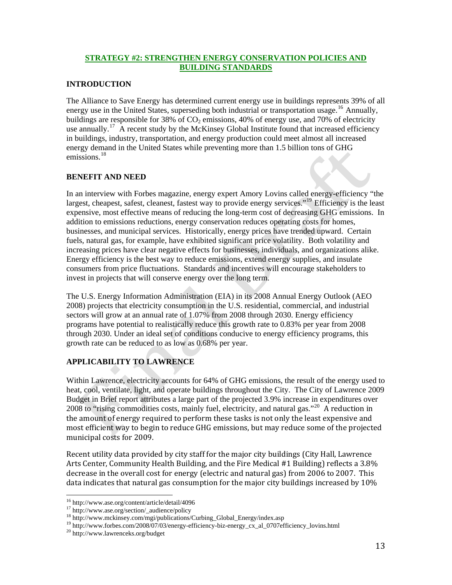## <span id="page-12-0"></span>**STRATEGY #2: STRENGTHEN ENERGY CONSERVATION POLICIES AND BUILDING STANDARDS**

#### **INTRODUCTION**

The Alliance to Save Energy has determined current energy use in buildings represents 39% of all energy use in the United States, superseding both industrial or transportation usage.<sup>[16](#page-12-0)</sup> Annually, buildings are responsible for 38% of  $CO<sub>2</sub>$  emissions, 40% of energy use, and 70% of electricity use annually.<sup>[17](#page-12-0)</sup> A recent study by the McKinsey Global Institute found that increased efficiency in buildings, industry, transportation, and energy production could meet almost all increased energy demand in the United States while preventing more than 1.5 billion tons of GHG emissions.<sup>[18](#page-12-0)</sup>

## **BENEFIT AND NEED**

In an interview with Forbes magazine, energy expert Amory Lovins called energy-efficiency "the largest, cheapest, safest, cleanest, fastest way to provide energy services."<sup>[19](#page-12-0)</sup> Efficiency is the least expensive, most effective means of reducing the long-term cost of decreasing GHG emissions. In addition to emissions reductions, energy conservation reduces operating costs for homes, businesses, and municipal services. Historically, energy prices have trended upward. Certain fuels, natural gas, for example, have exhibited significant price volatility. Both volatility and increasing prices have clear negative effects for businesses, individuals, and organizations alike. Energy efficiency is the best way to reduce emissions, extend energy supplies, and insulate consumers from price fluctuations. Standards and incentives will encourage stakeholders to invest in projects that will conserve energy over the long term.

The U.S. Energy Information Administration (EIA) in its 2008 Annual Energy Outlook (AEO 2008) projects that electricity consumption in the U.S. residential, commercial, and industrial sectors will grow at an annual rate of 1.07% from 2008 through 2030. Energy efficiency programs have potential to realistically reduce this growth rate to 0.83% per year from 2008 through 2030. Under an ideal set of conditions conducive to energy efficiency programs, this growth rate can be reduced to as low as 0.68% per year.

## **APPLICABILITY TO LAWRENCE**

Within Lawrence, electricity accounts for 64% of GHG emissions, the result of the energy used to heat, cool, ventilate, light, and operate buildings throughout the City. The City of Lawrence 2009 Budget in Brief report attributes a large part of the projected 3.9% increase in expenditures over [20](#page-12-0)08 to "rising commodities costs, mainly fuel, electricity, and natural gas."<sup>20</sup> A reduction in the amount of energy required to perform these tasks is not only the least expensive and most efficient way to begin to reduce GHG emissions, but may reduce some of the projected municipal costs for 2009.

Recent utility data provided by city staff for the major city buildings (City Hall, Lawrence Arts Center, Community Health Building, and the Fire Medical #1 Building) reflects a 3.8% decrease in the overall cost for energy (electric and natural gas) from 2006 to 2007. This data indicates that natural gas consumption for the major city buildings increased by 10%

 $^{16}$  http://www.ase.org/content/article/detail/4096

<sup>&</sup>lt;sup>17</sup> http://www.ase.org/section/\_audience/policy<br><sup>18</sup> http://www.mckinsey.com/mgi/publications/Curbing\_Global\_Energy/index.asp<br><sup>19</sup> http://www.forbes.com/2008/07/03/energy-efficiency-biz-energy\_cx\_al\_0707efficiency\_lovins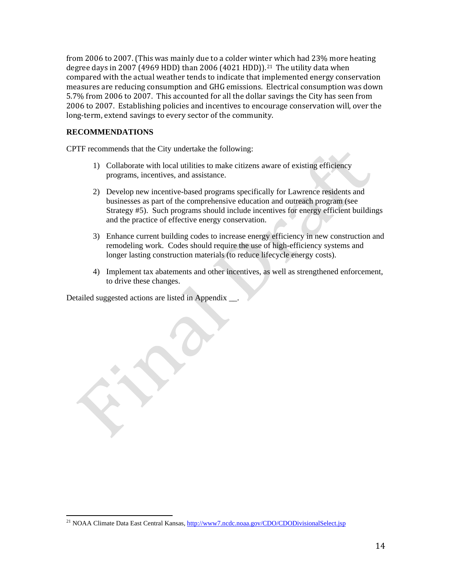<span id="page-13-0"></span>from 2006 to 2007. (This was mainly due to a colder wint[er](#page-13-0) which had 23% more heating degree days in 2007 (4969 HDD) than 2006 (4021 HDD)).<sup>21</sup> The utility data when compared with the actual weather tends to indicate that implemented energy conservation measures are reducing consumption and GHG emissions. Electrical consumption was down 5.7% from 2006 to 2007. This accounted for all the dollar savings the City has seen from 2006 to 2007. Establishing policies and incentives to encourage conservation will, over the long-term, extend savings to every sector of the community.

## **RECOMMENDATIONS**

CPTF recommends that the City undertake the following:

- 1) Collaborate with local utilities to make citizens aware of existing efficiency programs, incentives, and assistance.
- 2) Develop new incentive-based programs specifically for Lawrence residents and businesses as part of the comprehensive education and outreach program (see Strategy #5). Such programs should include incentives for energy efficient buildings and the practice of effective energy conservation.
- 3) Enhance current building codes to increase energy efficiency in new construction and remodeling work. Codes should require the use of high-efficiency systems and longer lasting construction materials (to reduce lifecycle energy costs).
- 4) Implement tax abatements and other incentives, as well as strengthened enforcement, to drive these changes.

Detailed suggested actions are listed in Appendix .

<sup>&</sup>lt;sup>21</sup> NOAA Climate Data East Central Kansas,<http://www7.ncdc.noaa.gov/CDO/CDODivisionalSelect.jsp>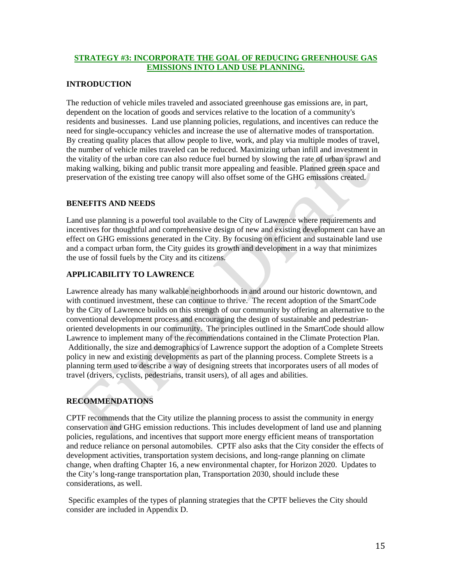## <span id="page-14-0"></span>**STRATEGY #3: INCORPORATE THE GOAL OF REDUCING GREENHOUSE GAS EMISSIONS INTO LAND USE PLANNING.**

## **INTRODUCTION**

The reduction of vehicle miles traveled and associated greenhouse gas emissions are, in part, dependent on the location of goods and services relative to the location of a community's residents and businesses. Land use planning policies, regulations, and incentives can reduce the need for single-occupancy vehicles and increase the use of alternative modes of transportation. By creating quality places that allow people to live, work, and play via multiple modes of travel, the number of vehicle miles traveled can be reduced. Maximizing urban infill and investment in the vitality of the urban core can also reduce fuel burned by slowing the rate of urban sprawl and making walking, biking and public transit more appealing and feasible. Planned green space and preservation of the existing tree canopy will also offset some of the GHG emissions created.

## **BENEFITS AND NEEDS**

Land use planning is a powerful tool available to the City of Lawrence where requirements and incentives for thoughtful and comprehensive design of new and existing development can have an effect on GHG emissions generated in the City. By focusing on efficient and sustainable land use and a compact urban form, the City guides its growth and development in a way that minimizes the use of fossil fuels by the City and its citizens.

## **APPLICABILITY TO LAWRENCE**

Lawrence already has many walkable neighborhoods in and around our historic downtown, and with continued investment, these can continue to thrive. The recent adoption of the SmartCode by the City of Lawrence builds on this strength of our community by offering an alternative to the conventional development process and encouraging the design of sustainable and pedestrianoriented developments in our community. The principles outlined in the SmartCode should allow Lawrence to implement many of the recommendations contained in the Climate Protection Plan. Additionally, the size and demographics of Lawrence support the adoption of a Complete Streets policy in new and existing developments as part of the planning process. Complete Streets is a planning term used to describe a way of designing streets that incorporates users of all modes of travel (drivers, cyclists, pedestrians, transit users), of all ages and abilities.

## **RECOMMENDATIONS**

CPTF recommends that the City utilize the planning process to assist the community in energy conservation and GHG emission reductions. This includes development of land use and planning policies, regulations, and incentives that support more energy efficient means of transportation and reduce reliance on personal automobiles. CPTF also asks that the City consider the effects of development activities, transportation system decisions, and long-range planning on climate change, when drafting Chapter 16, a new environmental chapter, for Horizon 2020. Updates to the City's long-range transportation plan, Transportation 2030, should include these considerations, as well.

 Specific examples of the types of planning strategies that the CPTF believes the City should consider are included in Appendix D.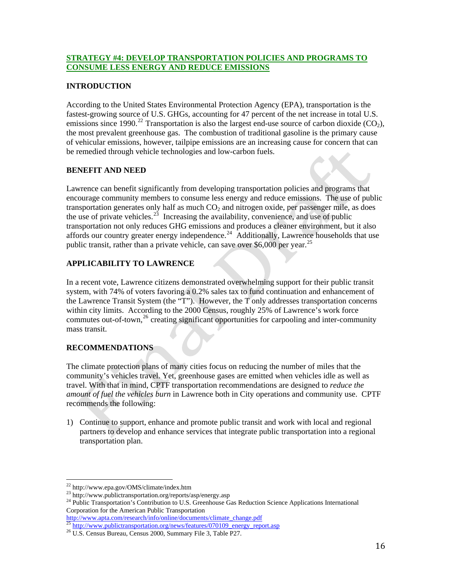## <span id="page-15-0"></span>**STRATEGY #4: DEVELOP TRANSPORTATION POLICIES AND PROGRAMS TO CONSUME LESS ENERGY AND REDUCE EMISSIONS**

## **INTRODUCTION**

According to the United States Environmental Protection Agency (EPA), transportation is the fastest-growing source of U.S. GHGs, accounting for 47 percent of the net increase in total U.S. emissions since 1990.<sup>[22](#page-15-0)</sup> Transportation is also the largest end-use source of carbon dioxide (CO<sub>2</sub>), the most prevalent greenhouse gas. The combustion of traditional gasoline is the primary cause of vehicular emissions, however, tailpipe emissions are an increasing cause for concern that can be remedied through vehicle technologies and low-carbon fuels.

## **BENEFIT AND NEED**

Lawrence can benefit significantly from developing transportation policies and programs that encourage community members to consume less energy and reduce emissions. The use of public transportation generates only half as much  $CO<sub>2</sub>$  and nitrogen oxide, per passenger mile, as does the use of private vehicles.<sup>[23](#page-15-0)</sup> Increasing the availability, convenience, and use of public transportation not only reduces GHG emissions and produces a cleaner environment, but it also affords our country greater energy independence.<sup>[24](#page-15-0)</sup> Additionally, Lawrence households that use public transit, rather than a private vehicle, can save over \$6,000 per year.<sup>[25](#page-15-0)</sup>

## **APPLICABILITY TO LAWRENCE**

In a recent vote, Lawrence citizens demonstrated overwhelming support for their public transit system, with 74% of voters favoring a 0.2% sales tax to fund continuation and enhancement of the Lawrence Transit System (the "T"). However, the T only addresses transportation concerns within city limits. According to the 2000 Census, roughly 25% of Lawrence's work force commutes out-of-town,<sup>[26](#page-15-0)</sup> creating significant opportunities for carpooling and inter-community mass transit.

## **RECOMMENDATIONS**

The climate protection plans of many cities focus on reducing the number of miles that the community's vehicles travel. Yet, greenhouse gases are emitted when vehicles idle as well as travel. With that in mind, CPTF transportation recommendations are designed to *reduce the amount of fuel the vehicles burn* in Lawrence both in City operations and community use. CPTF recommends the following:

1) Continue to support, enhance and promote public transit and work with local and regional partners to develop and enhance services that integrate public transportation into a regional transportation plan.

<sup>&</sup>lt;sup>22</sup> http://www.epa.gov/OMS/climate/index.htm<br><sup>23</sup> http://www.publictransportation.org/reports/asp/energy.asp<br><sup>24</sup> Public Transportation's Contribution to U.S. Greenhouse Gas Reduction Science Applications International Corporation for the American Public Transportation<br>http://www.apta.com/research/info/online/documents/climate\_change.pdf

 $\frac{25 \text{ http://www.publictransportation.org/news/features/070109 energy report.asp}}{25 \text{ Ut. S. Census Bureau, Census } 2000, \text{Summary File 3, Table P27.}$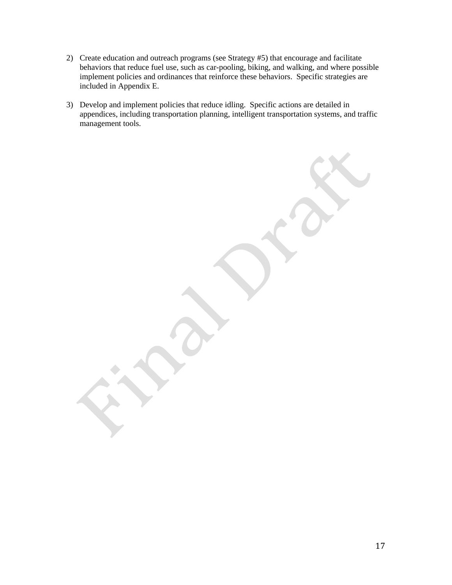- 2) Create education and outreach programs (see Strategy #5) that encourage and facilitate behaviors that reduce fuel use, such as car-pooling, biking, and walking, and where possible implement policies and ordinances that reinforce these behaviors. Specific strategies are included in Appendix E.
- 3) Develop and implement policies that reduce idling. Specific actions are detailed in appendices, including transportation planning, intelligent transportation systems, and traffic management tools.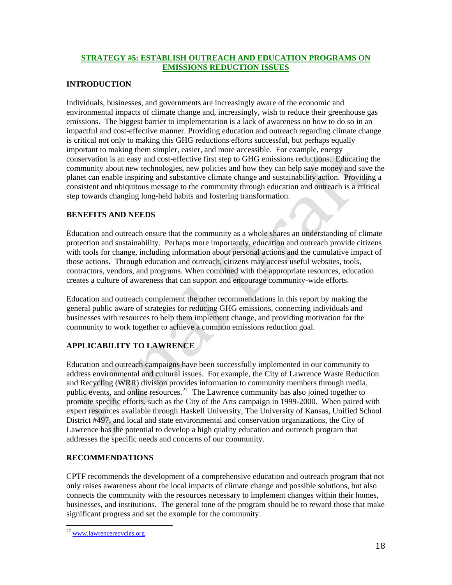## <span id="page-17-0"></span>**STRATEGY #5: ESTABLISH OUTREACH AND EDUCATION PROGRAMS ON EMISSIONS REDUCTION ISSUES**

## **INTRODUCTION**

Individuals, businesses, and governments are increasingly aware of the economic and environmental impacts of climate change and, increasingly, wish to reduce their greenhouse gas emissions. The biggest barrier to implementation is a lack of awareness on how to do so in an impactful and cost-effective manner. Providing education and outreach regarding climate change is critical not only to making this GHG reductions efforts successful, but perhaps equally important to making them simpler, easier, and more accessible. For example, energy conservation is an easy and cost-effective first step to GHG emissions reductions. Educating the community about new technologies, new policies and how they can help save money and save the planet can enable inspiring and substantive climate change and sustainability action. Providing a consistent and ubiquitous message to the community through education and outreach is a critical step towards changing long-held habits and fostering transformation.

## **BENEFITS AND NEEDS**

Education and outreach ensure that the community as a whole shares an understanding of climate protection and sustainability. Perhaps more importantly, education and outreach provide citizens with tools for change, including information about personal actions and the cumulative impact of those actions. Through education and outreach, citizens may access useful websites, tools, contractors, vendors, and programs. When combined with the appropriate resources, education creates a culture of awareness that can support and encourage community-wide efforts.

Education and outreach complement the other recommendations in this report by making the general public aware of strategies for reducing GHG emissions, connecting individuals and businesses with resources to help them implement change, and providing motivation for the community to work together to achieve a common emissions reduction goal.

## **APPLICABILITY TO LAWRENCE**

Education and outreach campaigns have been successfully implemented in our community to address environmental and cultural issues. For example, the City of Lawrence Waste Reduction and Recycling (WRR) division provides information to community members through media, public events, and online resources.<sup>[27](#page-17-0)</sup> The Lawrence community has also joined together to promote specific efforts, such as the City of the Arts campaign in 1999-2000. When paired with expert resources available through Haskell University, The University of Kansas, Unified School District #497, and local and state environmental and conservation organizations, the City of Lawrence has the potential to develop a high quality education and outreach program that addresses the specific needs and concerns of our community.

## **RECOMMENDATIONS**

CPTF recommends the development of a comprehensive education and outreach program that not only raises awareness about the local impacts of climate change and possible solutions, but also connects the community with the resources necessary to implement changes within their homes, businesses, and institutions. The general tone of the program should be to reward those that make significant progress and set the example for the community.

 <sup>27</sup> [www.lawrencerecycles.org](http://www.lawrencerecycles.org/)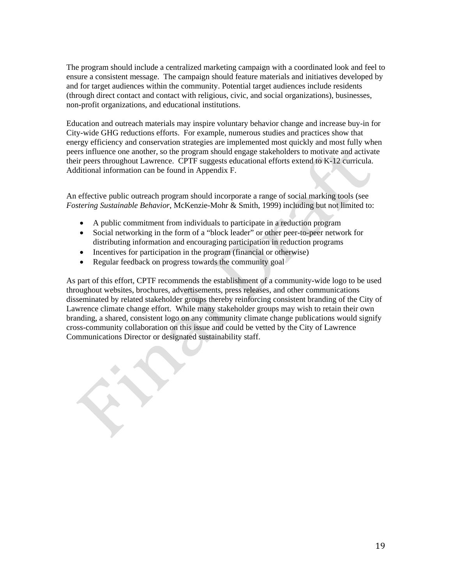The program should include a centralized marketing campaign with a coordinated look and feel to ensure a consistent message. The campaign should feature materials and initiatives developed by and for target audiences within the community. Potential target audiences include residents (through direct contact and contact with religious, civic, and social organizations), businesses, non-profit organizations, and educational institutions.

Education and outreach materials may inspire voluntary behavior change and increase buy-in for City-wide GHG reductions efforts. For example, numerous studies and practices show that energy efficiency and conservation strategies are implemented most quickly and most fully when peers influence one another, so the program should engage stakeholders to motivate and activate their peers throughout Lawrence. CPTF suggests educational efforts extend to K-12 curricula. Additional information can be found in Appendix F.

An effective public outreach program should incorporate a range of social marking tools (see *Fostering Sustainable Behavior*, McKenzie-Mohr & Smith, 1999) including but not limited to:

- A public commitment from individuals to participate in a reduction program
- Social networking in the form of a "block leader" or other peer-to-peer network for distributing information and encouraging participation in reduction programs
- Incentives for participation in the program (financial or otherwise)
- Regular feedback on progress towards the community goal

As part of this effort, CPTF recommends the establishment of a community-wide logo to be used throughout websites, brochures, advertisements, press releases, and other communications disseminated by related stakeholder groups thereby reinforcing consistent branding of the City of Lawrence climate change effort. While many stakeholder groups may wish to retain their own branding, a shared, consistent logo on any community climate change publications would signify cross-community collaboration on this issue and could be vetted by the City of Lawrence Communications Director or designated sustainability staff.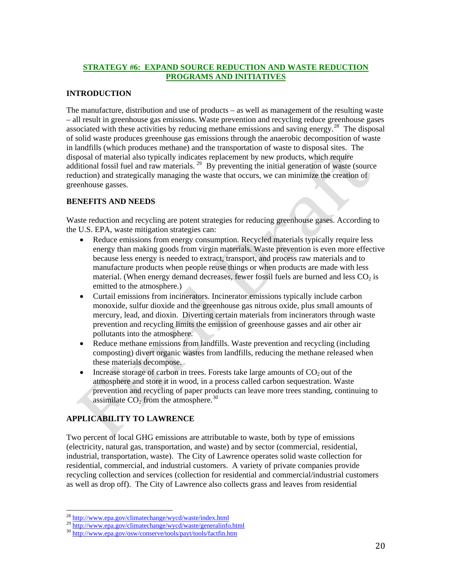## <span id="page-19-0"></span>**STRATEGY #6: EXPAND SOURCE REDUCTION AND WASTE REDUCTION PROGRAMS AND INITIATIVES**

## **INTRODUCTION**

The manufacture, distribution and use of products – as well as management of the resulting waste – all result in greenhouse gas emissions. Waste prevention and recycling reduce greenhouse gases associated with these activities by reducing methane emissions and saving energy.<sup>[28](#page-19-0)</sup> The disposal of solid waste produces greenhouse gas emissions through the anaerobic decomposition of waste in landfills (which produces methane) and the transportation of waste to disposal sites. The disposal of material also typically indicates replacement by new products, which require additional fossil fuel and raw materials.<sup>[29](#page-19-0)</sup> By preventing the initial generation of waste (source reduction) and strategically managing the waste that occurs, we can minimize the creation of greenhouse gasses.

## **BENEFITS AND NEEDS**

Waste reduction and recycling are potent strategies for reducing greenhouse gases. According to the U.S. EPA, waste mitigation strategies can:

- Reduce emissions from energy consumption. Recycled materials typically require less energy than making goods from virgin materials. Waste prevention is even more effective because less energy is needed to extract, transport, and process raw materials and to manufacture products when people reuse things or when products are made with less material. (When energy demand decreases, fewer fossil fuels are burned and less  $CO<sub>2</sub>$  is emitted to the atmosphere.)
- Curtail emissions from incinerators. Incinerator emissions typically include carbon monoxide, sulfur dioxide and the greenhouse gas nitrous oxide, plus small amounts of mercury, lead, and dioxin. Diverting certain materials from incinerators through waste prevention and recycling limits the emission of greenhouse gasses and air other air pollutants into the atmosphere.
- Reduce methane emissions from landfills. Waste prevention and recycling (including composting) divert organic wastes from landfills, reducing the methane released when these materials decompose.
- Increase storage of carbon in trees. Forests take large amounts of  $CO<sub>2</sub>$  out of the atmosphere and store it in wood, in a process called carbon sequestration. Waste prevention and recycling of paper products can leave more trees standing, continuing to assimilate  $CO<sub>2</sub>$  from the atmosphere.<sup>[30](#page-19-0)</sup>

## **APPLICABILITY TO LAWRENCE**

Two percent of local GHG emissions are attributable to waste, both by type of emissions (electricity, natural gas, transportation, and waste) and by sector (commercial, residential, industrial, transportation, waste). The City of Lawrence operates solid waste collection for residential, commercial, and industrial customers. A variety of private companies provide recycling collection and services (collection for residential and commercial/industrial customers as well as drop off). The City of Lawrence also collects grass and leaves from residential

<sup>&</sup>lt;sup>28</sup> http://www.epa.gov/climatechange/wycd/waste/index.html

<sup>29</sup> <http://www.epa.gov/climatechange/wycd/waste/generalinfo.html><br>30 http://www.epa.gov/conserve/tools/payt/tools/factfin.htm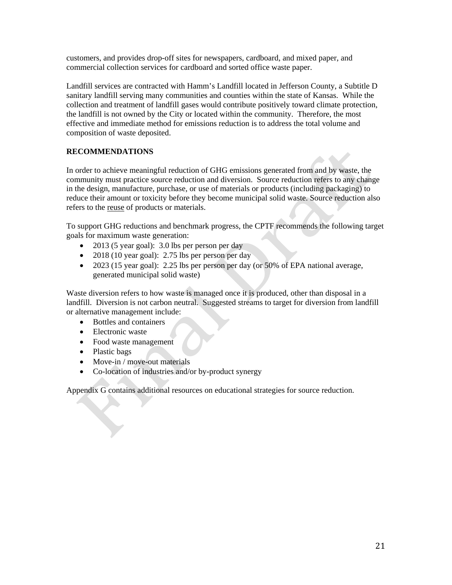customers, and provides drop-off sites for newspapers, cardboard, and mixed paper, and commercial collection services for cardboard and sorted office waste paper.

Landfill services are contracted with Hamm's Landfill located in Jefferson County, a Subtitle D sanitary landfill serving many communities and counties within the state of Kansas. While the collection and treatment of landfill gases would contribute positively toward climate protection, the landfill is not owned by the City or located within the community. Therefore, the most effective and immediate method for emissions reduction is to address the total volume and composition of waste deposited.

## **RECOMMENDATIONS**

In order to achieve meaningful reduction of GHG emissions generated from and by waste, the community must practice source reduction and diversion. Source reduction refers to any change in the design, manufacture, purchase, or use of materials or products (including packaging) to reduce their amount or toxicity before they become municipal solid waste. Source reduction also refers to the reuse of products or materials.

To support GHG reductions and benchmark progress, the CPTF recommends the following target goals for maximum waste generation:

- 2013 (5 year goal): 3.0 lbs per person per day
- 2018 (10 year goal): 2.75 lbs per person per day
- 2023 (15 year goal): 2.25 lbs per person per day (or 50% of EPA national average, generated municipal solid waste)

Waste diversion refers to how waste is managed once it is produced, other than disposal in a landfill. Diversion is not carbon neutral. Suggested streams to target for diversion from landfill or alternative management include:

- Bottles and containers
- Electronic waste
- Food waste management
- Plastic bags
- Move-in / move-out materials
- Co-location of industries and/or by-product synergy

Appendix G contains additional resources on educational strategies for source reduction.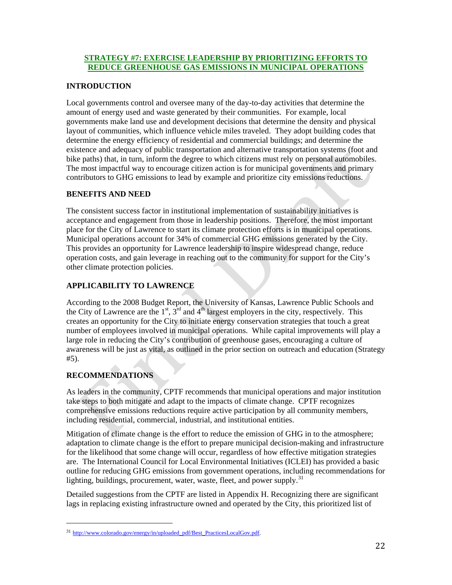## <span id="page-21-0"></span>**STRATEGY #7: EXERCISE LEADERSHIP BY PRIORITIZING EFFORTS TO REDUCE GREENHOUSE GAS EMISSIONS IN MUNICIPAL OPERATIONS**

## **INTRODUCTION**

Local governments control and oversee many of the day-to-day activities that determine the amount of energy used and waste generated by their communities. For example, local governments make land use and development decisions that determine the density and physical layout of communities, which influence vehicle miles traveled. They adopt building codes that determine the energy efficiency of residential and commercial buildings; and determine the existence and adequacy of public transportation and alternative transportation systems (foot and bike paths) that, in turn, inform the degree to which citizens must rely on personal automobiles. The most impactful way to encourage citizen action is for municipal governments and primary contributors to GHG emissions to lead by example and prioritize city emissions reductions.

## **BENEFITS AND NEED**

The consistent success factor in institutional implementation of sustainability initiatives is acceptance and engagement from those in leadership positions. Therefore, the most important place for the City of Lawrence to start its climate protection efforts is in municipal operations. Municipal operations account for 34% of commercial GHG emissions generated by the City. This provides an opportunity for Lawrence leadership to inspire widespread change, reduce operation costs, and gain leverage in reaching out to the community for support for the City's other climate protection policies.

## **APPLICABILITY TO LAWRENCE**

According to the 2008 Budget Report, the University of Kansas, Lawrence Public Schools and the City of Lawrence are the  $1<sup>st</sup>$ ,  $3<sup>rd</sup>$  and  $4<sup>th</sup>$  largest employers in the city, respectively. This creates an opportunity for the City to initiate energy conservation strategies that touch a great number of employees involved in municipal operations. While capital improvements will play a large role in reducing the City's contribution of greenhouse gases, encouraging a culture of awareness will be just as vital, as outlined in the prior section on outreach and education (Strategy #5).

## **RECOMMENDATIONS**

As leaders in the community, CPTF recommends that municipal operations and major institution take steps to both mitigate and adapt to the impacts of climate change. CPTF recognizes comprehensive emissions reductions require active participation by all community members, including residential, commercial, industrial, and institutional entities.

Mitigation of climate change is the effort to reduce the emission of GHG in to the atmosphere; adaptation to climate change is the effort to prepare municipal decision-making and infrastructure for the likelihood that some change will occur, regardless of how effective mitigation strategies are. The International Council for Local Environmental Initiatives (ICLEI) has provided a basic outline for reducing GHG emissions from government operations, including recommendations for lighting, buildings, procurement, water, waste, fleet, and power supply.<sup>[31](#page-21-0)</sup>

Detailed suggestions from the CPTF are listed in Appendix H. Recognizing there are significant lags in replacing existing infrastructure owned and operated by the City, this prioritized list of

<sup>&</sup>lt;sup>31</sup> [http://www.colorado.gov/energy/in/uploaded\\_pdf/Best\\_PracticesLocalGov.pdf.](http://www.colorado.gov/energy/in/uploaded_pdf/Best_PracticesLocalGov.pdf)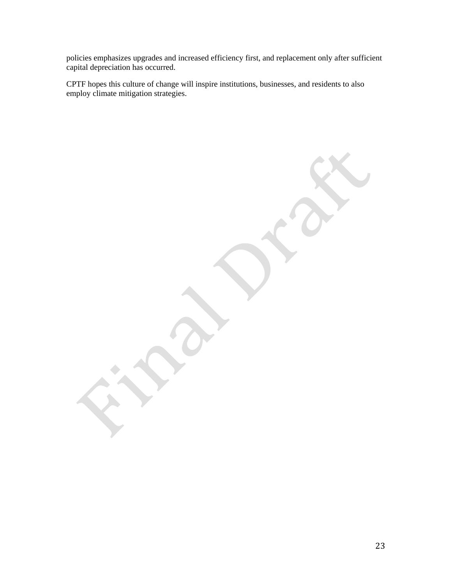policies emphasizes upgrades and increased efficiency first, and replacement only after sufficient capital depreciation has occurred.

CPTF hopes this culture of change will inspire institutions, businesses, and residents to also employ climate mitigation strategies.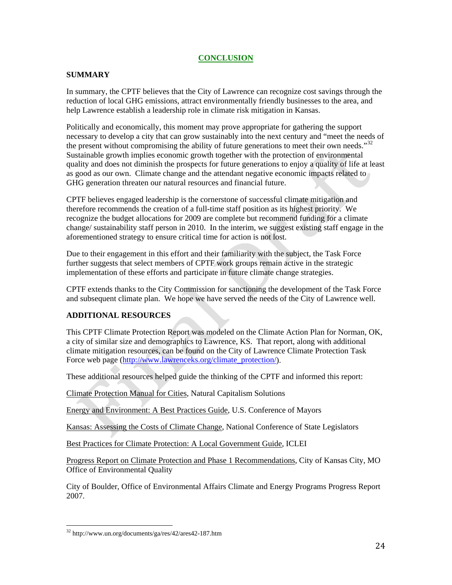## **CONCLUSION**

## <span id="page-23-0"></span>**SUMMARY**

In summary, the CPTF believes that the City of Lawrence can recognize cost savings through the reduction of local GHG emissions, attract environmentally friendly businesses to the area, and help Lawrence establish a leadership role in climate risk mitigation in Kansas.

Politically and economically, this moment may prove appropriate for gathering the support necessary to develop a city that can grow sustainably into the next century and "meet the needs of the present without compromising the ability of future generations to meet their own needs." $32$ Sustainable growth implies economic growth together with the protection of environmental quality and does not diminish the prospects for future generations to enjoy a quality of life at least as good as our own. Climate change and the attendant negative economic impacts related to GHG generation threaten our natural resources and financial future.

CPTF believes engaged leadership is the cornerstone of successful climate mitigation and therefore recommends the creation of a full-time staff position as its highest priority. We recognize the budget allocations for 2009 are complete but recommend funding for a climate change/ sustainability staff person in 2010. In the interim, we suggest existing staff engage in the aforementioned strategy to ensure critical time for action is not lost.

Due to their engagement in this effort and their familiarity with the subject, the Task Force further suggests that select members of CPTF work groups remain active in the strategic implementation of these efforts and participate in future climate change strategies.

CPTF extends thanks to the City Commission for sanctioning the development of the Task Force and subsequent climate plan. We hope we have served the needs of the City of Lawrence well.

## **ADDITIONAL RESOURCES**

This CPTF Climate Protection Report was modeled on the Climate Action Plan for Norman, OK, a city of similar size and demographics to Lawrence, KS. That report, along with additional climate mitigation resources, can be found on the City of Lawrence Climate Protection Task Force web page [\(http://www.lawrenceks.org/climate\\_protection/\)](http://www.lawrenceks.org/climate_protection/).

These additional resources helped guide the thinking of the CPTF and informed this report:

Climate Protection Manual for Cities, Natural Capitalism Solutions

Energy and Environment: A Best Practices Guide, U.S. Conference of Mayors

Kansas: Assessing the Costs of Climate Change, National Conference of State Legislators

Best Practices for Climate Protection: A Local Government Guide, ICLEI

Progress Report on Climate Protection and Phase 1 Recommendations, City of Kansas City, MO Office of Environmental Quality

City of Boulder, Office of Environmental Affairs Climate and Energy Programs Progress Report 2007.

<sup>32</sup> http://www.un.org/documents/ga/res/42/ares42-187.htm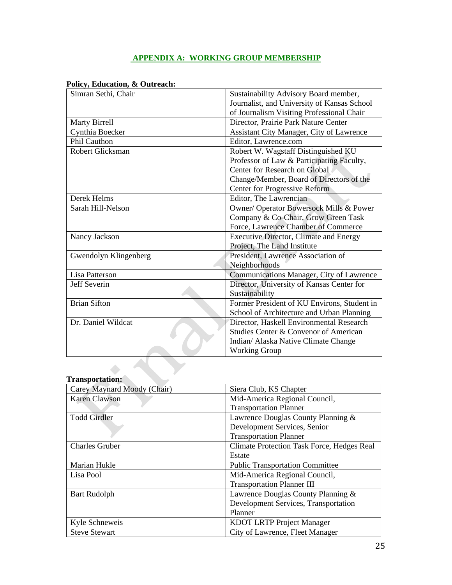## **APPENDIX A: WORKING GROUP MEMBERSHIP**

|  | Policy, Education, & Outreach: |
|--|--------------------------------|
|--|--------------------------------|

| Simran Sethi, Chair     | Sustainability Advisory Board member,           |
|-------------------------|-------------------------------------------------|
|                         | Journalist, and University of Kansas School     |
|                         | of Journalism Visiting Professional Chair       |
| <b>Marty Birrell</b>    | Director, Prairie Park Nature Center            |
| Cynthia Boecker         | <b>Assistant City Manager, City of Lawrence</b> |
| Phil Cauthon            | Editor, Lawrence.com                            |
| <b>Robert Glicksman</b> | Robert W. Wagstaff Distinguished KU             |
|                         | Professor of Law & Participating Faculty,       |
|                         | Center for Research on Global                   |
|                         | Change/Member, Board of Directors of the        |
|                         | <b>Center for Progressive Reform</b>            |
| Derek Helms             | Editor, The Lawrencian                          |
| Sarah Hill-Nelson       | Owner/ Operator Bowersock Mills & Power         |
|                         | Company & Co-Chair, Grow Green Task             |
|                         | Force, Lawrence Chamber of Commerce             |
| Nancy Jackson           | <b>Executive Director, Climate and Energy</b>   |
|                         | Project, The Land Institute                     |
| Gwendolyn Klingenberg   | President, Lawrence Association of              |
|                         | Neighborhoods                                   |
| Lisa Patterson          | Communications Manager, City of Lawrence        |
| <b>Jeff Severin</b>     | Director, University of Kansas Center for       |
|                         | Sustainability                                  |
| <b>Brian Sifton</b>     | Former President of KU Environs, Student in     |
|                         | School of Architecture and Urban Planning       |
| Dr. Daniel Wildcat      | Director, Haskell Environmental Research        |
|                         | Studies Center & Convenor of American           |
|                         | Indian/ Alaska Native Climate Change            |
|                         | <b>Working Group</b>                            |
|                         |                                                 |
|                         |                                                 |

# **Transportation:**

| Carey Maynard Moody (Chair) | Siera Club, KS Chapter                            |  |
|-----------------------------|---------------------------------------------------|--|
| Karen Clawson               | Mid-America Regional Council,                     |  |
|                             | <b>Transportation Planner</b>                     |  |
| <b>Todd Girdler</b>         | Lawrence Douglas County Planning &                |  |
|                             | Development Services, Senior                      |  |
|                             | <b>Transportation Planner</b>                     |  |
| <b>Charles Gruber</b>       | <b>Climate Protection Task Force, Hedges Real</b> |  |
|                             | Estate                                            |  |
| Marian Hukle                | <b>Public Transportation Committee</b>            |  |
| Lisa Pool                   | Mid-America Regional Council,                     |  |
|                             | <b>Transportation Planner III</b>                 |  |
| <b>Bart Rudolph</b>         | Lawrence Douglas County Planning &                |  |
|                             | Development Services, Transportation              |  |
|                             | Planner                                           |  |
| Kyle Schneweis              | <b>KDOT LRTP Project Manager</b>                  |  |
| <b>Steve Stewart</b>        | City of Lawrence, Fleet Manager                   |  |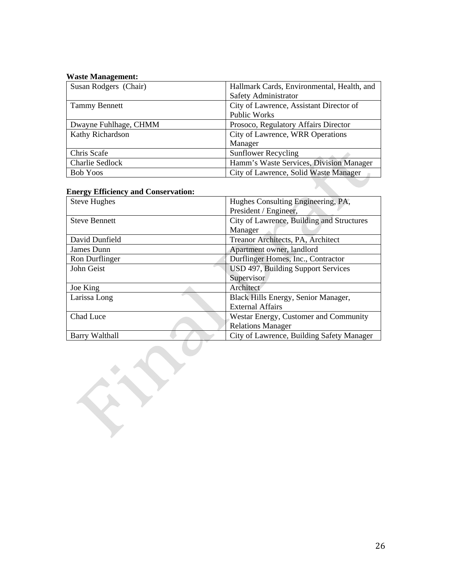## **Waste Management:**

| Susan Rodgers (Chair)  | Hallmark Cards, Environmental, Health, and |
|------------------------|--------------------------------------------|
|                        | Safety Administrator                       |
| <b>Tammy Bennett</b>   | City of Lawrence, Assistant Director of    |
|                        | <b>Public Works</b>                        |
| Dwayne Fuhlhage, CHMM  | Prosoco, Regulatory Affairs Director       |
| Kathy Richardson       | City of Lawrence, WRR Operations           |
|                        | Manager                                    |
| Chris Scafe            | <b>Sunflower Recycling</b>                 |
| <b>Charlie Sedlock</b> | Hamm's Waste Services, Division Manager    |
| <b>Bob Yoos</b>        | City of Lawrence, Solid Waste Manager      |

## **Energy Efficiency and Conservation:**

| <b>Steve Hughes</b>   | Hughes Consulting Engineering, PA,        |
|-----------------------|-------------------------------------------|
|                       | President / Engineer,                     |
| <b>Steve Bennett</b>  | City of Lawrence, Building and Structures |
|                       | Manager                                   |
| David Dunfield        | Treanor Architects, PA, Architect         |
| James Dunn            | Apartment owner, landlord                 |
| Ron Durflinger        | Durflinger Homes, Inc., Contractor        |
| John Geist            | USD 497, Building Support Services        |
|                       | Supervisor                                |
| Joe King              | Architect                                 |
| Larissa Long          | Black Hills Energy, Senior Manager,       |
|                       | <b>External Affairs</b>                   |
| Chad Luce             | Westar Energy, Customer and Community     |
|                       | <b>Relations Manager</b>                  |
| <b>Barry Walthall</b> | City of Lawrence, Building Safety Manager |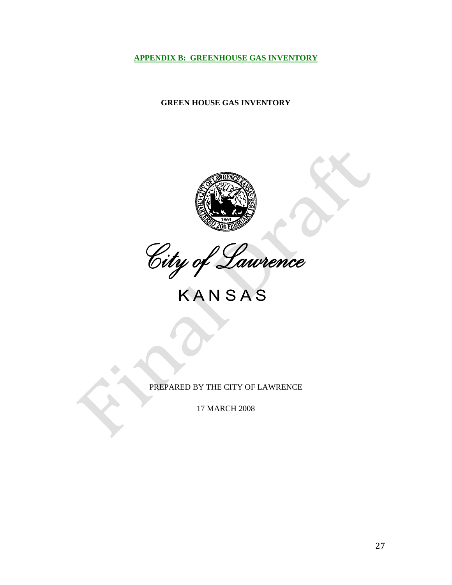<span id="page-26-0"></span>**APPENDIX B: GREENHOUSE GAS INVENTORY**

## **GREEN HOUSE GAS INVENTORY**



City of Laurence

PREPARED BY THE CITY OF LAWRENCE

17 MARCH 2008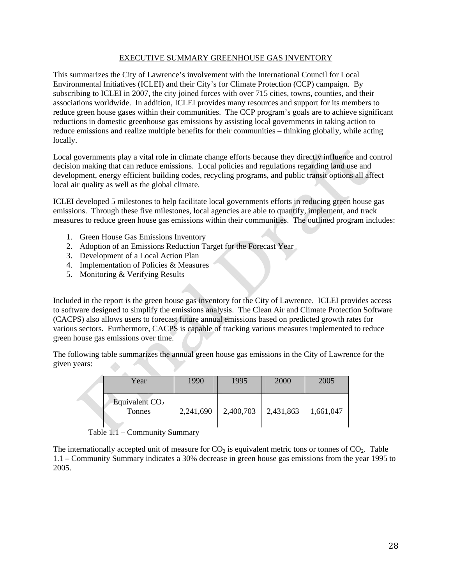## EXECUTIVE SUMMARY GREENHOUSE GAS INVENTORY

This summarizes the City of Lawrence's involvement with the International Council for Local Environmental Initiatives (ICLEI) and their City's for Climate Protection (CCP) campaign. By subscribing to ICLEI in 2007, the city joined forces with over 715 cities, towns, counties, and their associations worldwide. In addition, ICLEI provides many resources and support for its members to reduce green house gases within their communities. The CCP program's goals are to achieve significant reductions in domestic greenhouse gas emissions by assisting local governments in taking action to reduce emissions and realize multiple benefits for their communities – thinking globally, while acting locally.

Local governments play a vital role in climate change efforts because they directly influence and control decision making that can reduce emissions. Local policies and regulations regarding land use and development, energy efficient building codes, recycling programs, and public transit options all affect local air quality as well as the global climate.

ICLEI developed 5 milestones to help facilitate local governments efforts in reducing green house gas emissions. Through these five milestones, local agencies are able to quantify, implement, and track measures to reduce green house gas emissions within their communities. The outlined program includes:

- 1. Green House Gas Emissions Inventory
- 2. Adoption of an Emissions Reduction Target for the Forecast Year
- 3. Development of a Local Action Plan
- 4. Implementation of Policies & Measures
- 5. Monitoring & Verifying Results

Included in the report is the green house gas inventory for the City of Lawrence. ICLEI provides access to software designed to simplify the emissions analysis. The Clean Air and Climate Protection Software (CACPS) also allows users to forecast future annual emissions based on predicted growth rates for various sectors. Furthermore, CACPS is capable of tracking various measures implemented to reduce green house gas emissions over time.

The following table summarizes the annual green house gas emissions in the City of Lawrence for the given years:

| Year |                            | 1990      | 1995      | 2000      | 2005      |
|------|----------------------------|-----------|-----------|-----------|-----------|
|      | Equivalent $CO2$<br>Tonnes | 2,241,690 | 2,400,703 | 2,431,863 | 1,661,047 |

Table 1.1 – Community Summary

The internationally accepted unit of measure for  $CO<sub>2</sub>$  is equivalent metric tons or tonnes of  $CO<sub>2</sub>$ . Table 1.1 – Community Summary indicates a 30% decrease in green house gas emissions from the year 1995 to 2005.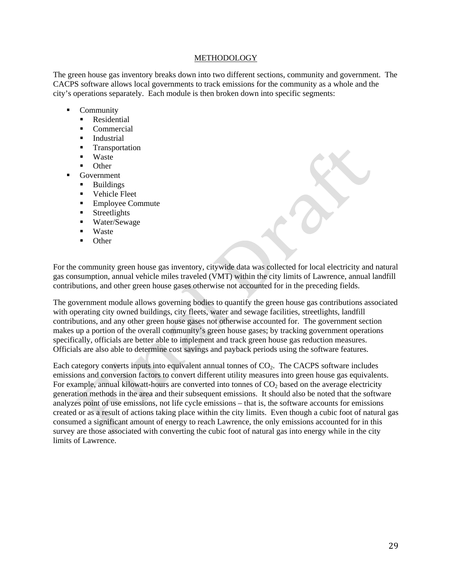#### METHODOLOGY

The green house gas inventory breaks down into two different sections, community and government. The CACPS software allows local governments to track emissions for the community as a whole and the city's operations separately. Each module is then broken down into specific segments:

- Community
	- Residential
	- **Commercial**
	- **Industrial**
	- **Transportation**
	- **Waste**
	- **Other**
- Government
	- **Buildings**
	- **•** Vehicle Fleet
	- Employee Commute
	- Streetlights
	- Water/Sewage
	- **Waste**
	- **Other**

For the community green house gas inventory, citywide data was collected for local electricity and natural gas consumption, annual vehicle miles traveled (VMT) within the city limits of Lawrence, annual landfill contributions, and other green house gases otherwise not accounted for in the preceding fields.

The government module allows governing bodies to quantify the green house gas contributions associated with operating city owned buildings, city fleets, water and sewage facilities, streetlights, landfill contributions, and any other green house gases not otherwise accounted for. The government section makes up a portion of the overall community's green house gases; by tracking government operations specifically, officials are better able to implement and track green house gas reduction measures. Officials are also able to determine cost savings and payback periods using the software features.

Each category converts inputs into equivalent annual tonnes of  $CO<sub>2</sub>$ . The CACPS software includes emissions and conversion factors to convert different utility measures into green house gas equivalents. For example, annual kilowatt-hours are converted into tonnes of  $CO<sub>2</sub>$  based on the average electricity generation methods in the area and their subsequent emissions. It should also be noted that the software analyzes point of use emissions, not life cycle emissions – that is, the software accounts for emissions created or as a result of actions taking place within the city limits. Even though a cubic foot of natural gas consumed a significant amount of energy to reach Lawrence, the only emissions accounted for in this survey are those associated with converting the cubic foot of natural gas into energy while in the city limits of Lawrence.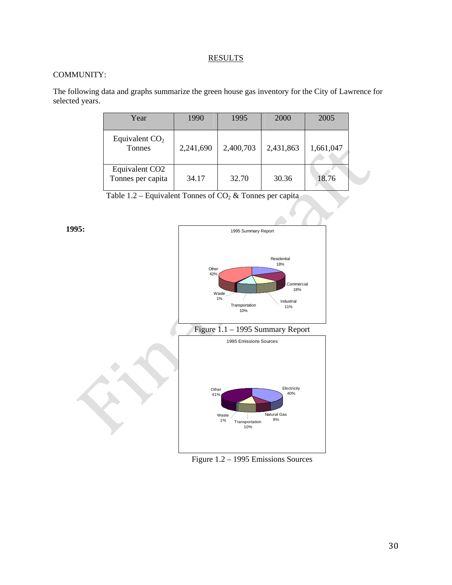## **RESULTS**

## COMMUNITY:

The following data and graphs summarize the green house gas inventory for the City of Lawrence for selected years.

| Year                                            | 1990      | 1995      | 2000      | 2005      |  |
|-------------------------------------------------|-----------|-----------|-----------|-----------|--|
| Equivalent $CO2$<br>Tonnes                      | 2,241,690 | 2,400,703 | 2,431,863 | 1,661,047 |  |
| Equivalent CO <sub>2</sub><br>Tonnes per capita | 34.17     | 32.70     | 30.36     | 18.76     |  |

Table 1.2 – Equivalent Tonnes of  $CO<sub>2</sub>$  & Tonnes per capita



Figure 1.2 – 1995 Emissions Sources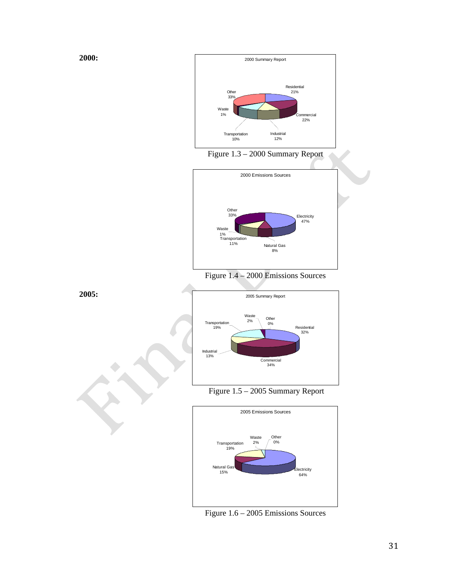

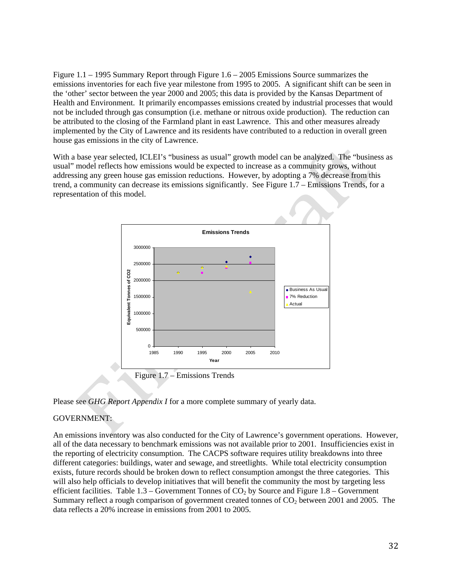Figure 1.1 – 1995 Summary Report through Figure 1.6 – 2005 Emissions Source summarizes the emissions inventories for each five year milestone from 1995 to 2005. A significant shift can be seen in the 'other' sector between the year 2000 and 2005; this data is provided by the Kansas Department of Health and Environment. It primarily encompasses emissions created by industrial processes that would not be included through gas consumption (i.e. methane or nitrous oxide production). The reduction can be attributed to the closing of the Farmland plant in east Lawrence. This and other measures already implemented by the City of Lawrence and its residents have contributed to a reduction in overall green house gas emissions in the city of Lawrence.

With a base year selected, ICLEI's "business as usual" growth model can be analyzed. The "business as usual" model reflects how emissions would be expected to increase as a community grows, without addressing any green house gas emission reductions. However, by adopting a 7% decrease from this trend, a community can decrease its emissions significantly. See Figure 1.7 – Emissions Trends, for a representation of this model.



Please see *GHG Report Appendix I* for a more complete summary of yearly data.

## GOVERNMENT:

An emissions inventory was also conducted for the City of Lawrence's government operations. However, all of the data necessary to benchmark emissions was not available prior to 2001. Insufficiencies exist in the reporting of electricity consumption. The CACPS software requires utility breakdowns into three different categories: buildings, water and sewage, and streetlights. While total electricity consumption exists, future records should be broken down to reflect consumption amongst the three categories. This will also help officials to develop initiatives that will benefit the community the most by targeting less efficient facilities. Table  $1.3$  – Government Tonnes of  $CO<sub>2</sub>$  by Source and Figure  $1.8$  – Government Summary reflect a rough comparison of government created tonnes of  $CO<sub>2</sub>$  between 2001 and 2005. The data reflects a 20% increase in emissions from 2001 to 2005.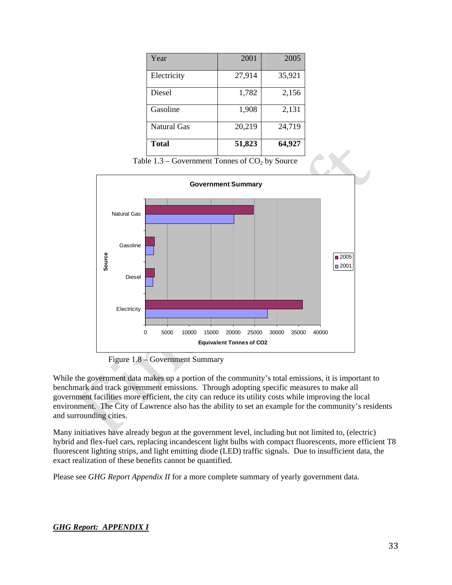| Year               | 2001   | 2005   |
|--------------------|--------|--------|
| Electricity        | 27,914 | 35,921 |
| Diesel             | 1,782  | 2,156  |
| Gasoline           | 1,908  | 2,131  |
| <b>Natural Gas</b> | 20,219 | 24,719 |
| <b>Total</b>       | 51,823 | 64,927 |

Table  $1.3$  – Government Tonnes of  $CO<sub>2</sub>$  by Source



Figure 1.8 – Government Summary

While the government data makes up a portion of the community's total emissions, it is important to benchmark and track government emissions. Through adopting specific measures to make all government facilities more efficient, the city can reduce its utility costs while improving the local environment. The City of Lawrence also has the ability to set an example for the community's residents and surrounding cities.

Many initiatives have already begun at the government level, including but not limited to, (electric) hybrid and flex-fuel cars, replacing incandescent light bulbs with compact fluorescents, more efficient T8 fluorescent lighting strips, and light emitting diode (LED) traffic signals. Due to insufficient data, the exact realization of these benefits cannot be quantified.

Please see *GHG Report Appendix II* for a more complete summary of yearly government data.

## *GHG Report: APPENDIX I*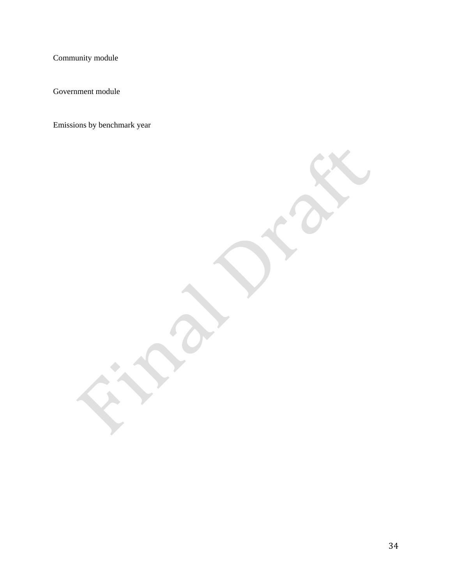Community module

Government module

Emissions by benchmark year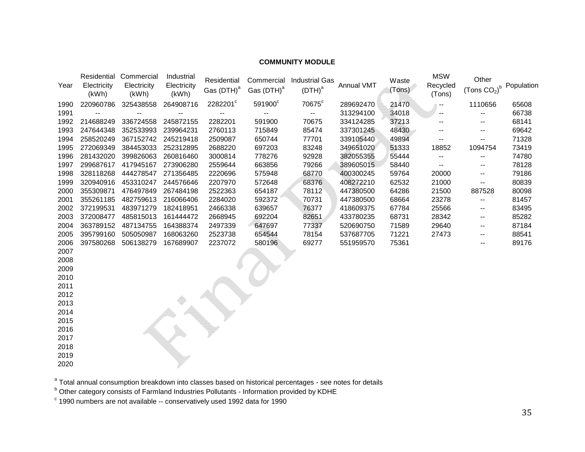## **COMMUNITY MODULE**

| Year | Electricity<br>(kWh) | Residential Commercial<br>Electricity<br>(kWh) | Industrial<br>Electricity<br>(kWh) | Residential<br>Gas (DTH) <sup>a</sup> | Commercial<br>Gas (DTH) <sup>a</sup> | <b>Industrial Gas</b><br>$(DTH)^a$ | Annual VMT | Waste<br>(Tons) | <b>MSW</b><br>Recycled<br>(Tons) | Other<br>(Tons $CO2$ ) <sup>b</sup> | Population |
|------|----------------------|------------------------------------------------|------------------------------------|---------------------------------------|--------------------------------------|------------------------------------|------------|-----------------|----------------------------------|-------------------------------------|------------|
| 1990 | 220960786            | 325438558                                      | 264908716                          | 2282201°                              | 591900°                              | 70675 <sup>c</sup>                 | 289692470  | 21470           |                                  | 1110656                             | 65608      |
| 1991 |                      |                                                |                                    |                                       |                                      | $\overline{\phantom{a}}$           | 313294100  | 34018           | $\overline{\phantom{a}}$         |                                     | 66738      |
| 1992 | 214688249            | 336724558                                      | 245872155                          | 2282201                               | 591900                               | 70675                              | 334124285  | 37213           |                                  |                                     | 68141      |
| 1993 | 247644348            | 352533993                                      | 239964231                          | 2760113                               | 715849                               | 85474                              | 337301245  | 48430           |                                  | --                                  | 69642      |
| 1994 | 258520249            | 367152742                                      | 245219418                          | 2509087                               | 650744                               | 77701                              | 339105440  | 49894           | --                               | --                                  | 71328      |
| 1995 | 272069349            | 384453033                                      | 252312895                          | 2688220                               | 697203                               | 83248                              | 349651020  | 51333           | 18852                            | 1094754                             | 73419      |
| 1996 | 281432020            | 399826063                                      | 260816460                          | 3000814                               | 778276                               | 92928                              | 382055355  | 55444           | --                               |                                     | 74780      |
| 1997 | 299687617            | 417945167                                      | 273906280                          | 2559644                               | 663856                               | 79266                              | 389605015  | 58440           |                                  | --                                  | 78128      |
| 1998 | 328118268            | 444278547                                      | 271356485                          | 2220696                               | 575948                               | 68770                              | 400300245  | 59764           | 20000                            | --                                  | 79186      |
| 1999 | 320940916            | 453310247                                      | 244576646                          | 2207970                               | 572648                               | 68376                              | 408272210  | 62532           | 21000                            | $\overline{\phantom{a}}$            | 80839      |
| 2000 | 355309871            | 476497849                                      | 267484198                          | 2522363                               | 654187                               | 78112                              | 447380500  | 64286           | 21500                            | 887528                              | 80098      |
| 2001 | 355261185            | 482759613                                      | 216066406                          | 2284020                               | 592372                               | 70731                              | 447380500  | 68664           | 23278                            |                                     | 81457      |
| 2002 | 372199531            | 483971279                                      | 182418951                          | 2466338                               | 639657                               | 76377                              | 418609375  | 67784           | 25566                            | --                                  | 83495      |
| 2003 | 372008477            | 485815013                                      | 161444472                          | 2668945                               | 692204                               | 82651                              | 433780235  | 68731           | 28342                            | --                                  | 85282      |
| 2004 | 363789152            | 487134755                                      | 164388374                          | 2497339                               | 647697                               | 77337                              | 520690750  | 71589           | 29640                            | --                                  | 87184      |
| 2005 | 395799160            | 505050987                                      | 168063260                          | 2523738                               | 654544                               | 78154                              | 537687705  | 71221           | 27473                            |                                     | 88541      |
| 2006 | 397580268            | 506138279                                      | 167689907                          | 2237072                               | 580196                               | 69277                              | 551959570  | 75361           |                                  | --                                  | 89176      |
| 2007 |                      |                                                |                                    |                                       |                                      |                                    |            |                 |                                  |                                     |            |
| 2008 |                      |                                                |                                    |                                       |                                      |                                    |            |                 |                                  |                                     |            |
| 2009 |                      |                                                |                                    |                                       |                                      |                                    |            |                 |                                  |                                     |            |
| 2010 |                      |                                                |                                    |                                       |                                      |                                    |            |                 |                                  |                                     |            |
| 2011 |                      |                                                |                                    |                                       |                                      |                                    |            |                 |                                  |                                     |            |
| 2012 |                      |                                                |                                    |                                       |                                      |                                    |            |                 |                                  |                                     |            |
| 2013 |                      |                                                |                                    |                                       |                                      |                                    |            |                 |                                  |                                     |            |
| 2014 |                      |                                                |                                    |                                       |                                      |                                    |            |                 |                                  |                                     |            |
| 2015 |                      |                                                |                                    |                                       |                                      |                                    |            |                 |                                  |                                     |            |
| 2016 |                      |                                                |                                    |                                       |                                      |                                    |            |                 |                                  |                                     |            |
| 2017 |                      |                                                |                                    |                                       |                                      |                                    |            |                 |                                  |                                     |            |
| 2018 |                      |                                                |                                    |                                       |                                      |                                    |            |                 |                                  |                                     |            |
| 2019 |                      |                                                |                                    |                                       |                                      |                                    |            |                 |                                  |                                     |            |

 $\mathrm{^a}$  Total annual consumption breakdown into classes based on historical percentages - see notes for details

<sup>b</sup> Other category consists of Farmland Industries Pollutants - Information provided by KDHE

 $\degree$  1990 numbers are not available -- conservatively used 1992 data for 1990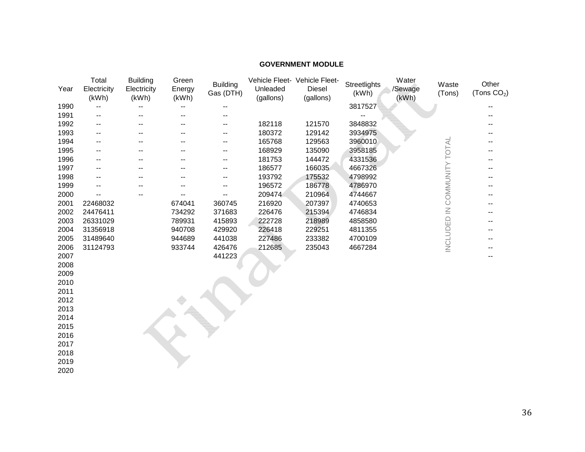## **GOVERNMENT MODULE**

| Year | Total<br>Electricity<br>(kWh) | <b>Building</b><br>Electricity<br>(kWh) | Green<br>Energy<br>(kWh) | <b>Building</b><br>Gas (DTH) | Unleaded<br>(gallons) | Vehicle Fleet- Vehicle Fleet-<br>Diesel<br>(gallons) | Streetlights<br>(kWh) | Water<br>/Sewage<br>(kWh) | Waste<br>(Tons)             | Other<br>(Tons $CO2$ ) |
|------|-------------------------------|-----------------------------------------|--------------------------|------------------------------|-----------------------|------------------------------------------------------|-----------------------|---------------------------|-----------------------------|------------------------|
| 1990 |                               |                                         |                          |                              |                       |                                                      | 3817527               |                           |                             |                        |
| 1991 |                               |                                         |                          |                              |                       |                                                      |                       |                           |                             |                        |
| 1992 | --                            |                                         |                          |                              | 182118                | 121570                                               | 3848832               |                           |                             |                        |
| 1993 | --                            |                                         |                          | --                           | 180372                | 129142                                               | 3934975               |                           |                             |                        |
| 1994 | --                            |                                         |                          | --                           | 165768                | 129563                                               | 3960010               |                           |                             |                        |
| 1995 |                               |                                         |                          |                              | 168929                | 135090                                               | 3958185               |                           | INCLUDED IN COMMUNITY TOTAL |                        |
| 1996 |                               |                                         |                          | --                           | 181753                | 144472                                               | 4331536               |                           |                             |                        |
| 1997 |                               |                                         |                          | --                           | 186577                | 166035                                               | 4667326               |                           |                             |                        |
| 1998 |                               |                                         |                          | --                           | 193792                | 175532                                               | 4798992               |                           |                             |                        |
| 1999 |                               |                                         |                          |                              | 196572                | 186778                                               | 4786970               |                           |                             |                        |
| 2000 |                               |                                         |                          |                              | 209474                | 210964                                               | 4744667               |                           |                             |                        |
| 2001 | 22468032                      |                                         | 674041                   | 360745                       | 216920                | 207397                                               | 4740653               |                           |                             |                        |
| 2002 | 24476411                      |                                         | 734292                   | 371683                       | 226476                | 215394                                               | 4746834               |                           |                             |                        |
| 2003 | 26331029                      |                                         | 789931                   | 415893                       | 222728                | 218989                                               | 4858580               |                           |                             |                        |
| 2004 | 31356918                      |                                         | 940708                   | 429920                       | 226418                | 229251                                               | 4811355               |                           |                             |                        |
| 2005 | 31489640                      |                                         | 944689                   | 441038                       | 227486                | 233382                                               | 4700109               |                           |                             |                        |
| 2006 | 31124793                      |                                         | 933744                   | 426476                       | 212685                | 235043                                               | 4667284               |                           |                             |                        |
| 2007 |                               |                                         |                          | 441223                       |                       |                                                      |                       |                           |                             |                        |
| 2008 |                               |                                         |                          |                              |                       |                                                      |                       |                           |                             |                        |
| 2009 |                               |                                         |                          |                              |                       |                                                      |                       |                           |                             |                        |
| 2010 |                               |                                         |                          |                              |                       |                                                      |                       |                           |                             |                        |
| 2011 |                               |                                         |                          |                              |                       |                                                      |                       |                           |                             |                        |
| 2012 |                               |                                         |                          |                              |                       |                                                      |                       |                           |                             |                        |
| 2013 |                               |                                         |                          |                              |                       |                                                      |                       |                           |                             |                        |
| 2014 |                               |                                         |                          |                              |                       |                                                      |                       |                           |                             |                        |
| 2015 |                               |                                         |                          |                              |                       |                                                      |                       |                           |                             |                        |
| 2016 |                               |                                         |                          |                              |                       |                                                      |                       |                           |                             |                        |
| 2017 |                               |                                         |                          |                              |                       |                                                      |                       |                           |                             |                        |
| 2018 |                               |                                         |                          |                              |                       |                                                      |                       |                           |                             |                        |
| 2019 |                               |                                         |                          |                              |                       |                                                      |                       |                           |                             |                        |

2019 2020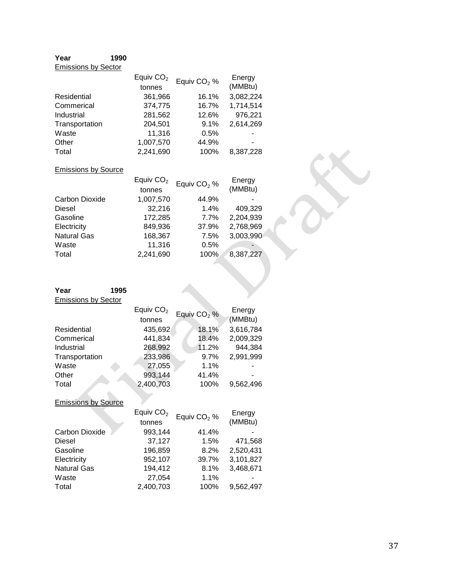## **Year 1990** Emissions by Sector

|                | Equiv $CO2$ | Equiv $CO2$ % | Energy    |
|----------------|-------------|---------------|-----------|
|                | tonnes      |               | (MMBtu)   |
| Residential    | 361,966     | 16.1%         | 3,082,224 |
| Commerical     | 374,775     | 16.7%         | 1,714,514 |
| Industrial     | 281,562     | 12.6%         | 976,221   |
| Transportation | 204,501     | 9.1%          | 2,614,269 |
| Waste          | 11,316      | 0.5%          |           |
| Other          | 1,007,570   | 44.9%         |           |
| Total          | 2,241,690   | 100%          | 8,387,228 |

#### Emissions by Source

|                    | Equiv $CO2$ | Equiv CO <sub>2</sub> % | Energy    |
|--------------------|-------------|-------------------------|-----------|
|                    | tonnes      |                         | (MMBtu)   |
| Carbon Dioxide     | 1,007,570   | 44.9%                   |           |
| <b>Diesel</b>      | 32,216      | 1.4%                    | 409,329   |
| Gasoline           | 172,285     | 7.7%                    | 2,204,939 |
| Electricity        | 849,936     | 37.9%                   | 2,768,969 |
| <b>Natural Gas</b> | 168,367     | 7.5%                    | 3,003,990 |
| Waste              | 11,316      | 0.5%                    |           |
| Total              | 2,241,690   | 100%                    | 8,387,227 |
|                    |             |                         |           |

| Year<br><b>Emissions by Sector</b> | 1995 |                       |                         |                   |
|------------------------------------|------|-----------------------|-------------------------|-------------------|
|                                    |      | Equiv $CO2$<br>tonnes | Equiv $CO2$ %           | Energy<br>(MMBtu) |
| Residential                        |      | 435,692               | 18.1%                   | 3,616,784         |
| Commerical                         |      | 441,834               | 18.4%                   | 2,009,329         |
| Industrial                         |      | 268,992               | 11.2%                   | 944,384           |
| Transportation                     |      | 233,986               | 9.7%                    | 2,991,999         |
| Waste                              |      | 27,055                | 1.1%                    |                   |
| Other                              |      | 993,144               | 41.4%                   |                   |
| Total                              |      | 2,400,703             | 100%                    | 9,562,496         |
| <b>Emissions by Source</b>         |      |                       |                         |                   |
|                                    |      | Equiv $CO2$           | Equiv CO <sub>2</sub> % | Energy            |
|                                    |      | tonnes                |                         | (MMBtu)           |
| Carbon Dioxide                     |      | 993,144               | 41.4%                   |                   |
| Diesel                             |      | 37,127                | 1.5%                    | 471,568           |
| Gasoline                           |      | 196,859               | 8.2%                    | 2,520,431         |

| Electricity        | 952.107   | 39.7%   | 3.101.827 |
|--------------------|-----------|---------|-----------|
| <b>Natural Gas</b> | 194.412   | $8.1\%$ | 3.468.671 |
| Waste              | 27.054    | $1.1\%$ | н.        |
| Total              | 2.400.703 | 100%    | 9.562.497 |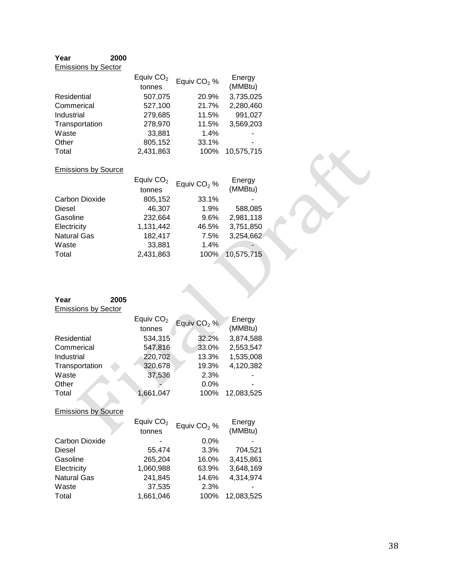## **Year 2000** Emissions by Sector

|                | Equiv $CO2$ | Equiv $CO2$ % | Energy     |
|----------------|-------------|---------------|------------|
|                | tonnes      |               | (MMBtu)    |
| Residential    | 507,075     | 20.9%         | 3,735,025  |
| Commerical     | 527,100     | 21.7%         | 2,280,460  |
| Industrial     | 279,685     | 11.5%         | 991,027    |
| Transportation | 278,970     | 11.5%         | 3,569,203  |
| Waste          | 33,881      | 1.4%          |            |
| Other          | 805,152     | 33.1%         |            |
| Total          | 2,431,863   | 100%          | 10,575,715 |

## Emissions by Source

Waste Total

|                       | Equiv $CO2$ | Equiv CO <sub>2</sub> % | Energy     |
|-----------------------|-------------|-------------------------|------------|
|                       | tonnes      |                         | (MMBtu)    |
| <b>Carbon Dioxide</b> | 805,152     | 33.1%                   |            |
| <b>Diesel</b>         | 46,307      | 1.9%                    | 588,085    |
| Gasoline              | 232,664     | 9.6%                    | 2,981,118  |
| Electricity           | 1,131,442   | 46.5%                   | 3,751,850  |
| <b>Natural Gas</b>    | 182,417     | 7.5%                    | 3,254,662  |
| Waste                 | 33,881      | 1.4%                    | -          |
| Total                 | 2,431,863   | 100%                    | 10,575,715 |
|                       |             |                         |            |

| Year                       | 2005        |                         |            |
|----------------------------|-------------|-------------------------|------------|
| <b>Emissions by Sector</b> |             |                         |            |
|                            | Equiv $CO2$ | Equiv CO <sub>2</sub> % | Energy     |
|                            | tonnes      |                         | (MMBtu)    |
| Residential                | 534,315     | 32.2%                   | 3,874,588  |
| Commerical                 | 547,816     | 33.0%                   | 2,553,547  |
| Industrial                 | 220,702     | 13.3%                   | 1,535,008  |
| Transportation             | 320,678     | 19.3%                   | 4,120,382  |
| Waste                      | 37,536      | 2.3%                    |            |
| Other                      |             | $0.0\%$                 |            |
| Total                      | 1,661,047   | 100%                    | 12,083,525 |
|                            |             |                         |            |
| <b>Emissions by Source</b> |             |                         |            |
|                            | Equiv $CO2$ | Equiv $CO2$ %           | Energy     |
|                            | tonnes      |                         | (MMBtu)    |
| Carbon Dioxide             |             | $0.0\%$                 |            |
| Diesel                     | 55,474      | 3.3%                    | 704,521    |
| Gasoline                   | 265,204     | 16.0%                   | 3,415,861  |
| Electricity                | 1,060,988   | 63.9%                   | 3,648,169  |
| <b>Natural Gas</b>         | 241,845     | 14.6%                   | 4,314,974  |
| Waste                      | 37,535      | 2.3%                    |            |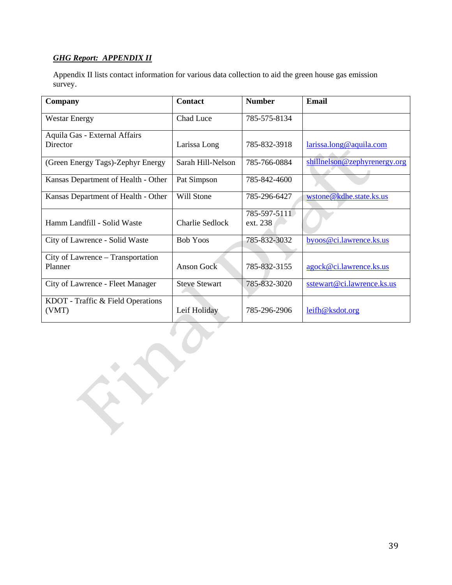## *GHG Report: APPENDIX II*

Appendix II lists contact information for various data collection to aid the green house gas emission survey.

| Company                                      | <b>Contact</b>         | <b>Number</b>            | <b>Email</b>                 |
|----------------------------------------------|------------------------|--------------------------|------------------------------|
| <b>Westar Energy</b>                         | Chad Luce              | 785-575-8134             |                              |
| Aquila Gas - External Affairs<br>Director    | Larissa Long           | 785-832-3918             | larissa.long@aquila.com      |
| (Green Energy Tags)-Zephyr Energy            | Sarah Hill-Nelson      | 785-766-0884             | shillnelson@zephyrenergy.org |
| Kansas Department of Health - Other          | Pat Simpson            | 785-842-4600             |                              |
| Kansas Department of Health - Other          | Will Stone             | 785-296-6427             | wstone@kdhe.state.ks.us      |
| Hamm Landfill - Solid Waste                  | <b>Charlie Sedlock</b> | 785-597-5111<br>ext. 238 |                              |
| City of Lawrence - Solid Waste               | <b>Bob Yoos</b>        | 785-832-3032             | byoos@ci.lawrence.ks.us      |
| City of Lawrence – Transportation<br>Planner | Anson Gock             | 785-832-3155             | agock@ci.lawrence.ks.us      |
| City of Lawrence - Fleet Manager             | <b>Steve Stewart</b>   | 785-832-3020             | sstewart@ci.lawrence.ks.us   |
| KDOT - Traffic & Field Operations<br>(VMT)   | Leif Holiday           | 785-296-2906             | leifh@ksdot.org              |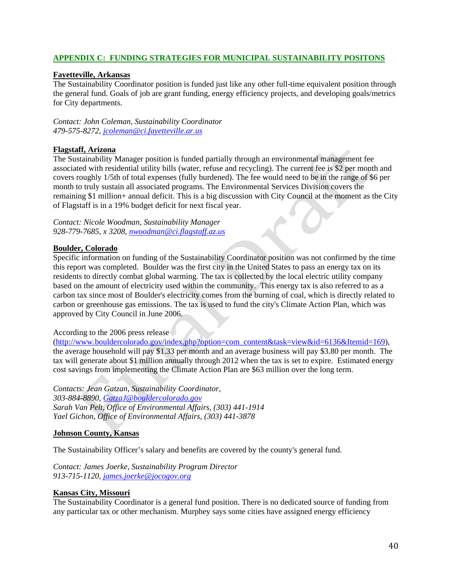## **APPENDIX C: FUNDING STRATEGIES FOR MUNICIPAL SUSTAINABILITY POSITONS**

## **Fayetteville, Arkansas**

The Sustainability Coordinator position is funded just like any other full-time equivalent position through the general fund. Goals of job are grant funding, energy efficiency projects, and developing goals/metrics for City departments.

*Contact: John Coleman, Sustainability Coordinator 479-575-8272, [jcoleman@ci.fayetteville.ar.us](mailto:jcoleman@ci.fayetteville.ar.us)*

## **Flagstaff, Arizona**

The Sustainability Manager position is funded partially through an environmental management fee associated with residential utility bills (water, refuse and recycling). The current fee is \$2 per month and covers roughly 1/5th of total expenses (fully burdened). The fee would need to be in the range of \$6 per month to truly sustain all associated programs. The Environmental Services Division covers the remaining \$1 million+ annual deficit. This is a big discussion with City Council at the moment as the City of Flagstaff is in a 19% budget deficit for next fiscal year.

*Contact: Nicole Woodman, Sustainability Manager 928-779-7685, x 3208, [nwoodman@ci.flagstaff.az.us](mailto:nwoodman@ci.flagstaff.az.us)*

## **Boulder, Colorado**

Specific information on funding of the Sustainability Coordinator position was not confirmed by the time this report was completed. Boulder was the first city in the United States to pass an energy tax on its residents to directly combat global warming. The tax is collected by the local electric utility company based on the amount of electricity used within the community. This energy tax is also referred to as a carbon tax since most of Boulder's electricity comes from the burning of coal, which is directly related to carbon or greenhouse gas emissions. The tax is used to fund the city's Climate Action Plan, which was approved by City Council in June 2006.

## According to the 2006 press release

([http://www.bouldercolorado.gov/index.php?option=com\\_content&task=view&id=6136&Itemid=169\)](http://www.bouldercolorado.gov/index.php?option=com_content&task=view&id=6136&Itemid=169), the average household will pay \$1.33 per month and an average business will pay \$3.80 per month. The tax will generate about \$1 million annually through 2012 when the tax is set to expire. Estimated energy cost savings from implementing the Climate Action Plan are \$63 million over the long term.

*Contacts: Jean Gatzan, Sustainability Coordinator, 303-884-8890, [GatzaJ@bouldercolorado.gov](mailto:GatzaJ@bouldercolorado.gov) Sarah Van Pelt, Office of Environmental Affairs, (303) 441-1914 Yael Gichon, Office of Environmental Affairs, (303) 441-3878* 

## **Johnson County, Kansas**

The Sustainability Officer's salary and benefits are covered by the county's general fund.

*Contact: James Joerke, Sustainability Program Director 913-715-1120, [james.joerke@jocogov.org](mailto:james.joerke@jocogov.org)*

## **Kansas City, Missouri**

The Sustainability Coordinator is a general fund position. There is no dedicated source of funding from any particular tax or other mechanism. Murphey says some cities have assigned energy efficiency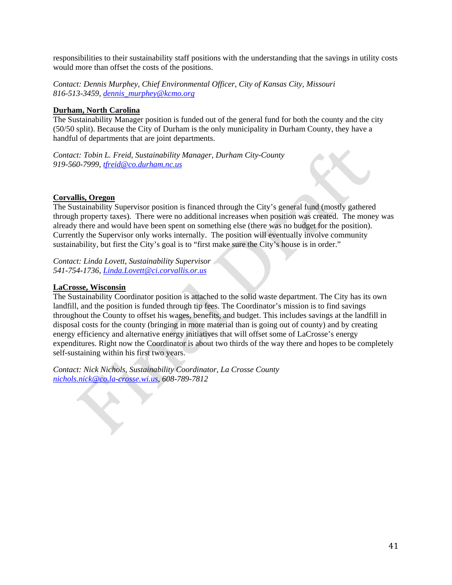responsibilities to their sustainability staff positions with the understanding that the savings in utility costs would more than offset the costs of the positions.

*Contact: Dennis Murphey, Chief Environmental Officer, City of Kansas City, Missouri 816-513-3459, [dennis\\_murphey@kcmo.org](mailto:dennis_murphey@kcmo.org)*

## **Durham, North Carolina**

The Sustainability Manager position is funded out of the general fund for both the county and the city (50/50 split). Because the City of Durham is the only municipality in Durham County, they have a handful of departments that are joint departments.

*Contact: Tobin L. Freid, Sustainability Manager, Durham City-County 919-560-7999, [tfreid@co.durham.nc.us](mailto:tfreid@co.durham.nc.us)*

## **Corvallis, Oregon**

The Sustainability Supervisor position is financed through the City's general fund (mostly gathered through property taxes). There were no additional increases when position was created. The money was already there and would have been spent on something else (there was no budget for the position). Currently the Supervisor only works internally. The position will eventually involve community sustainability, but first the City's goal is to "first make sure the City's house is in order."

*Contact: Linda Lovett, Sustainability Supervisor 541-754-1736, [Linda.Lovett@ci.corvallis.or.us](mailto:Linda.Lovett@ci.corvallis.or.us)*

## **LaCrosse, Wisconsin**

The Sustainability Coordinator position is attached to the solid waste department. The City has its own landfill, and the position is funded through tip fees. The Coordinator's mission is to find savings throughout the County to offset his wages, benefits, and budget. This includes savings at the landfill in disposal costs for the county (bringing in more material than is going out of county) and by creating energy efficiency and alternative energy initiatives that will offset some of LaCrosse's energy expenditures. Right now the Coordinator is about two thirds of the way there and hopes to be completely self-sustaining within his first two years.

*Contact: Nick Nichols, Sustainability Coordinator, La Crosse County [nichols.nick@co.la-crosse.wi.us](mailto:nichols.nick@co.la-crosse.wi.us), 608-789-7812*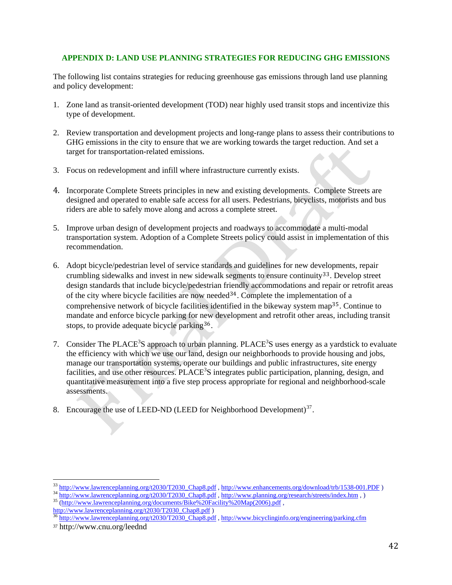## <span id="page-41-0"></span>**APPENDIX D: LAND USE PLANNING STRATEGIES FOR REDUCING GHG EMISSIONS**

The following list contains strategies for reducing greenhouse gas emissions through land use planning and policy development:

- 1. Zone land as transit-oriented development (TOD) near highly used transit stops and incentivize this type of development.
- 2. Review transportation and development projects and long-range plans to assess their contributions to GHG emissions in the city to ensure that we are working towards the target reduction. And set a target for transportation-related emissions.
- 3. F ocus on redevelopment and infill where infrastructure currently exists.
- 4. Incorporate Complete Streets principles in new and existing developments. Complete Streets are designed and operated to enable safe access for all users. Pedestrians, bicyclists, motorists and bus riders are able to safely move along and across a complete street.
- 5. Improve urban design of development projects and roadways to accommodate a multi-modal transportation system. Adoption of a Complete Streets policy could assist in implementation of this recommendation.
- 6. Adopt bicycle/pedestrian level of service standards and guidelines for new dev[elo](#page-41-0)pments, repair crumbling sidewalks and invest in new sidewalk segments to ensure continuity33. Develop street design standards that include bicycle/pedestrian fr[ien](#page-41-0)dly accommodations and repair or retrofit areas of the city where bicycle facilities are now needed  $34$ . Complete the implementati[on](#page-41-0) of a comprehensive network of bicycle facilities identified in the bikeway system map<sup>35</sup>. Continue to mandate and enforce bicycle parking for [new](#page-41-0) development and retrofit other areas, including transit stops, to provide adequate bicycle parking<sup>36</sup>.
- 7. Consider The PLACE<sup>3</sup>S approach to urban planning. PLACE<sup>3</sup>S uses energy as a yardstick to evaluate the efficiency with which we use our land, design our neighborhoods to provide housing and jobs, manage our transportation systems, operate our buildings and public infrastructures, site energy facilities, and use other resources. PLACE<sup>3</sup>S integrates public participation, planning, design, and quantitative measurement into a five step process appropriate for regional and neighborhood-scale assessments.
- 8. Encourage the use of LEED-ND (LEED for Neighborhood Development) $37$ .

 $\frac{33 \text{ http://www.lawrenceplanning.org/t2030/T2030 Chap8.pdf}}{34 \text{ http://www.lawrenceplanning.org/t2030/T2030 Chap8.pdf}$ ,  $\frac{http://www.enhancements.org/download/trb/1538-001.PDF}{http://www.lawrenceplanning.org/t2030/T2030 Chap8.pdf}$  $\frac{http://www.enhancements.org/download/trb/1538-001.PDF}{http://www.lawrenceplanning.org/t2030/T2030 Chap8.pdf}$  $\frac{http://www.enhancements.org/download/trb/1538-001.PDF}{http://www.lawrenceplanning.org/t2030/T2030 Chap8.pdf}$ ,  $\frac{http://www.lawrenceplanning.org/t2030/T2030 Chap8.pdf}{http://www.lawrenceplanning.org/documents/Bike%20Facility%20Map(2006).pdf}$ ,

[http://www.lawrenceplanning.org/t2030/T2030\\_Chap8.pdf](http://www.lawrenceplanning.org/t2030/T2030_Chap8.pdf) )<br>
<sup>36</sup> http://www.lawrenceplanning.org/t2030/T2030\_Chap8.pdf , <http://www.bicyclinginfo.org/engineering/parking.cfm>

<sup>37</sup> http://www.cnu.org/leednd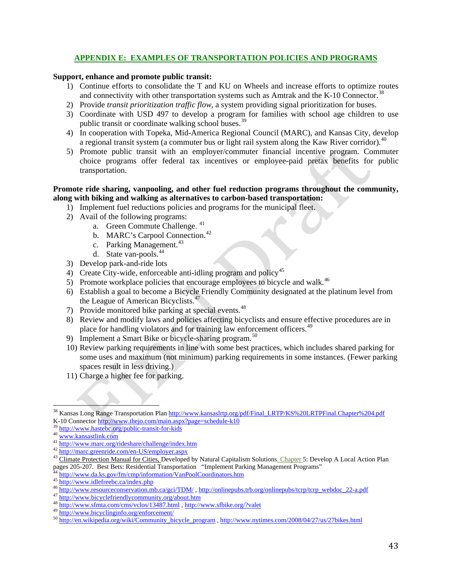## **APPENDIX E: EXAMPLES OF TRANSPORTATION POLICIES AND PROGRAMS**

#### <span id="page-42-0"></span>**Support, enhance and promote public transit:**

- 1) Continue efforts to consolidate the T and KU on Wheels and increase efforts to optimize routes and connectivity with other transportation systems such as Amtrak and the K-10 Connector.<sup>[38](#page-42-0)</sup>
- 2) Provide *transit prioritization traffic flow*, a system providing signal prioritization for buses.
- 3) Coordinate with USD 497 to develop a program for families with school age children to use public transit or coordinate walking school buses.<sup>[39](#page-42-0)</sup>
- 4) In cooperation with Topeka, Mid-America Regional Council (MARC), and Kansas City, develop a regional transit system (a commuter bus or light rail system along the Kaw River corridor).<sup>[40](#page-42-0)</sup>
- 5) Promote public transit with an employer/commuter financial incentive program. Commuter choice programs offer federal tax incentives or employee-paid pretax benefits for public transportation.

## **Promote ride sharing, vanpooling, and other fuel reduction programs throughout the community, along with biking and walking as alternatives to carbon-based transportation:**

- 1) Implement fuel reductions policies and programs for the municipal fleet.
- 2) Avail of the following programs:
	- a. Green Commute Challenge. [41](#page-42-0)
	- b. MARC's Carpool Connection.<sup>[42](#page-42-0)</sup>
	- c. Parking Management.<sup>[43](#page-42-0)</sup>
	- d. State van-pools.<sup>[44](#page-42-0)</sup>
- 3) Develop park-and-ride lots
- 4) Create City-wide, enforceable anti-idling program and policy<sup>[45](#page-42-0)</sup>
- 5) Promote workplace policies that encourage employees to bicycle and walk.<sup>[46](#page-42-0)</sup>
- 6) Establish a goal to become a Bicycle Friendly Community designated at the platinum level from the League of American Bicyclists.<sup>[47](#page-42-0)</sup>
- 7) Provide monitored bike parking at special events.<sup>[48](#page-42-0)</sup>
- 8) Review and modify laws and policies affecting bicyclists and ensure effective procedures are in place for handling violators and for training law enforcement officers.<sup>[49](#page-42-0)</sup>
- 9) Implement a Smart Bike or bicycle-sharing program.<sup>[50](#page-42-0)</sup>
- 10) Review parking requirements in line with some best practices, which includes shared parking for some uses and maximum (not minimum) parking requirements in some instances. (Fewer parking spaces result in less driving.)
- 11) Charge a higher fee for parking.

<sup>&</sup>lt;sup>38</sup> Kansas Long Range Transportation Plan [http://www.kansaslrtp.org/pdf/Final\\_LRTP/KS%20LRTPFinal.Chapter%204.pdf](http://www.kansaslrtp.org/pdf/Final_LRTP/KS%20LRTPFinal.Chapter%204.pdf)

K-10 Connector<http://www.thejo.com/main.aspx?page=schedule-k10><br>
<sup>39</sup> http://www.hastebc.org/public-transit-for-kids<br>
<sup>40</sup> [www.kansastlink.com](http://www.kansastlink.com/)<br>
<sup>41</sup> http://www.marc.org/rideshare/challenge/index.htm<br>
<sup>42</sup> http://marc.green

<sup>&</sup>lt;sup>44</sup><br> <http://www.da.ks.gov/fm/cmp/information/VanPoolCoordinators.htm><br>
<sup>45</sup><br>
http://www.idlefreebc.ca/index.php<br>
<sup>46</sup><br>
http://www.esourceconservation.mb.ca/gci/TDM/, http://onlinepubs.trb.org/onlinepubs/tcrp/tcrp\_webdoc\_22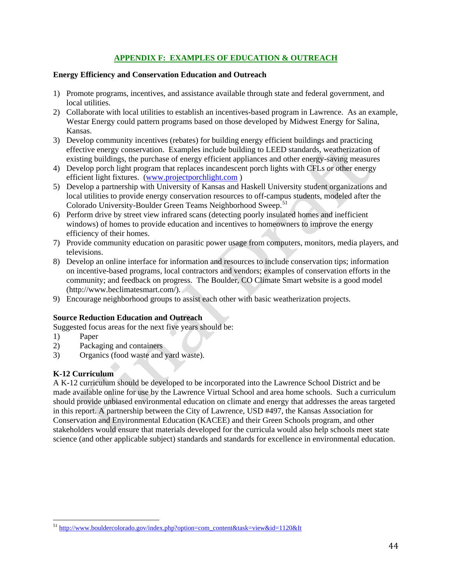## **APPENDIX F: EXAMPLES OF EDUCATION & OUTREACH**

## <span id="page-43-0"></span>**Energy Efficiency and Conservation Education and Outreach**

- 1) Promote programs, incentives, and assistance available through state and federal government, and local utilities.
- 2) Collaborate with local utilities to establish an incentives-based program in Lawrence. As an example, Westar Energy could pattern programs based on those developed by Midwest Energy for Salina, Kansas.
- 3) Develop community incentives (rebates) for building energy efficient buildings and practicing effective energy conservation. Examples include building to LEED standards, weatherization of existing buildings, the purchase of energy efficient appliances and other energy-saving measures
- 4) Develop porch light program that replaces incandescent porch lights with CFLs or other energy efficient light fixtures. ([www.projectporchlight.com](http://www.projectporchlight.com/) )
- 5) Develop a partnership with University of Kansas and Haskell University student organizations and local utilities to provide energy conservation resources to off-campus students, modeled after the Colorado University-Boulder Green Teams Neighborhood Sweep.<sup>[51](#page-43-0)</sup>
- 6) Perform drive by street view infrared scans (detecting poorly insulated homes and inefficient windows) of homes to provide education and incentives to homeowners to improve the energy efficiency of their homes.
- 7) Provide community education on parasitic power usage from computers, monitors, media players, and televisions.
- 8) Develop an online interface for information and resources to include conservation tips; information on incentive-based programs, local contractors and vendors; examples of conservation efforts in the community; and feedback on progress. The Boulder, CO Climate Smart website is a good model (http://www.beclimatesmart.com/).
- 9) Encourage neighborhood groups to assist each other with basic weatherization projects.

## **Source Reduction Education and Outreach**

Suggested focus areas for the next five years should be:

- 1) Paper
- 2) Packaging and containers
- 3) Organics (food waste and yard waste).

## **K-12 Curriculum**

A K-12 curriculum should be developed to be incorporated into the Lawrence School District and be made available online for use by the Lawrence Virtual School and area home schools. Such a curriculum should provide unbiased environmental education on climate and energy that addresses the areas targeted in this report. A partnership between the City of Lawrence, USD #497, the Kansas Association for Conservation and Environmental Education (KACEE) and their Green Schools program, and other stakeholders would ensure that materials developed for the curricula would also help schools meet state science (and other applicable subject) standards and standards for excellence in environmental education.

 <sup>51</sup> http://www.bouldercolorado.gov/index.php?option=com\_content&task=view&id=1120&It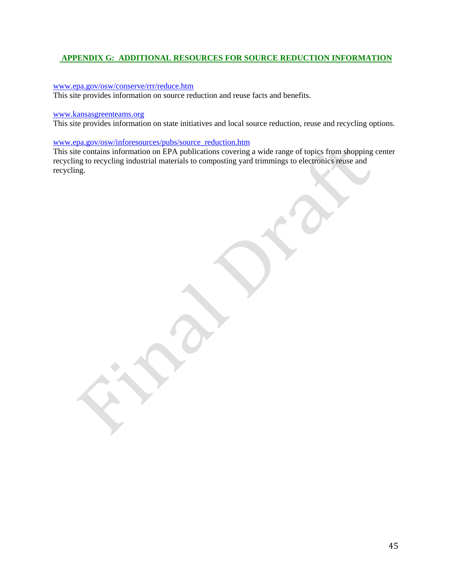## **APPENDIX G: ADDITIONAL RESOURCES FOR SOURCE REDUCTION INFORMATION**

#### [www.epa.gov/osw/conserve/rrr/reduce.htm](http://www.epa.gov/osw/conserve/rrr/reduce.htm)

This site provides information on source reduction and reuse facts and benefits.

#### [www.kansasgreenteams.org](http://www.kansasgreenteams.org/)

This site provides information on state initiatives and local source reduction, reuse and recycling options.

#### [www.epa.gov/osw/inforesources/pubs/source\\_reduction.htm](http://www.epa.gov/osw/inforesources/pubs/source_reduction.htm)

This site contains information on EPA publications covering a wide range of topics from shopping center recycling to recycling industrial materials to composting yard trimmings to electronics reuse and recycling.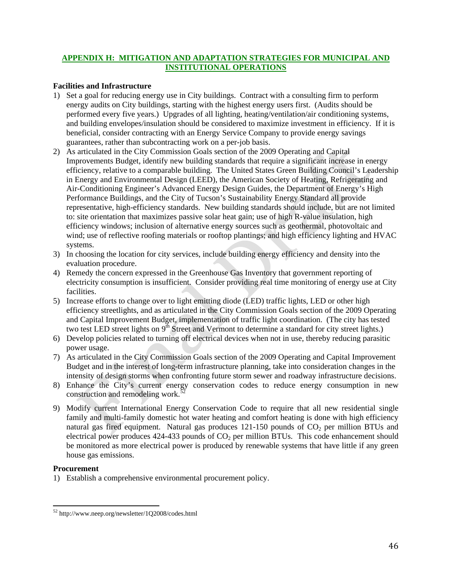## <span id="page-45-0"></span>**APPENDIX H: MITIGATION AND ADAPTATION STRATEGIES FOR MUNICIPAL AND INSTITUTIONAL OPERATIONS**

## **Facilities and Infrastructure**

- 1) Set a goal for reducing energy use in City buildings. Contract with a consulting firm to perform energy audits on City buildings, starting with the highest energy users first. (Audits should be performed every five years.) Upgrades of all lighting, heating/ventilation/air conditioning systems, and building envelopes/insulation should be considered to maximize investment in efficiency. If it is beneficial, consider contracting with an Energy Service Company to provide energy savings guarantees, rather than subcontracting work on a per-job basis.
- 2) As articulated in the City Commission Goals section of the 2009 Operating and Capital Improvements Budget, identify new building standards that require a significant increase in energy efficiency, relative to a comparable building. The United States Green Building Council's Leadership in Energy and Environmental Design (LEED), the American Society of Heating, Refrigerating and Air-Conditioning Engineer's Advanced Energy Design Guides, the Department of Energy's High Performance Buildings, and the City of Tucson's Sustainability Energy Standard all provide representative, high-efficiency standards. New building standards should include, but are not limited to: site orientation that maximizes passive solar heat gain; use of high R-value insulation, high efficiency windows; inclusion of alternative energy sources such as geothermal, photovoltaic and wind; use of reflective roofing materials or rooftop plantings; and high efficiency lighting and HVAC systems.
- 3) In choosing the location for city services, include building energy efficiency and density into the evaluation procedure.
- 4) Remedy the concern expressed in the Greenhouse Gas Inventory that government reporting of electricity consumption is insufficient. Consider providing real time monitoring of energy use at City facilities.
- 5) Increase efforts to change over to light emitting diode (LED) traffic lights, LED or other high efficiency streetlights, and as articulated in the City Commission Goals section of the 2009 Operating and Capital Improvement Budget, implementation of traffic light coordination. (The city has tested two test LED street lights on 9<sup>th</sup> Street and Vermont to determine a standard for city street lights.)
- 6) Develop policies related to turning off electrical devices when not in use, thereby reducing parasitic power usage.
- 7) As articulated in the City Commission Goals section of the 2009 Operating and Capital Improvement Budget and in the interest of long-term infrastructure planning, take into consideration changes in the intensity of design storms when confronting future storm sewer and roadway infrastructure decisions.
- 8) Enhance the City's current energy conservation codes to reduce energy consumption in new construction and remodeling work.<sup>5</sup>
- 9) Modify current International Energy Conservation Code to require that all new residential single family and multi-family domestic hot water heating and comfort heating is done with high efficiency natural gas fired equipment. Natural gas produces  $121-150$  pounds of  $CO<sub>2</sub>$  per million BTUs and electrical power produces  $424-433$  pounds of  $CO<sub>2</sub>$  per million BTUs. This code enhancement should be monitored as more electrical power is produced by renewable systems that have little if any green house gas emissions.

#### **Procurement**

1) Establish a comprehensive environmental procurement policy.

<sup>52</sup> http://www.neep.org/newsletter/1Q2008/codes.html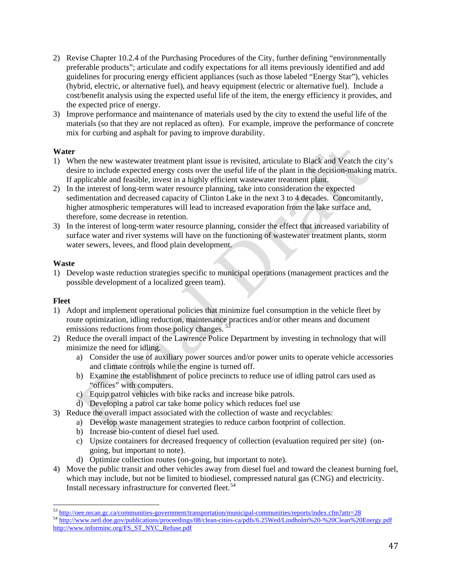- <span id="page-46-0"></span>2) Revise Chapter 10.2.4 of the Purchasing Procedures of the City, further defining "environmentally preferable products"; articulate and codify expectations for all items previously identified and add guidelines for procuring energy efficient appliances (such as those labeled "Energy Star"), vehicles (hybrid, electric, or alternative fuel), and heavy equipment (electric or alternative fuel). Include a cost/benefit analysis using the expected useful life of the item, the energy efficiency it provides, and the expected price of energy.
- 3) Improve performance and maintenance of materials used by the city to extend the useful life of the materials (so that they are not replaced as often). For example, improve the performance of concrete mix for curbing and asphalt for paving to improve durability.

## **Water**

- 1) When the new wastewater treatment plant issue is revisited, articulate to Black and Veatch the city's desire to include expected energy costs over the useful life of the plant in the decision-making matrix. If applicable and feasible, invest in a highly efficient wastewater treatment plant.
- 2) In the interest of long-term water resource planning, take into consideration the expected sedimentation and decreased capacity of Clinton Lake in the next 3 to 4 decades. Concomitantly, higher atmospheric temperatures will lead to increased evaporation from the lake surface and, therefore, some decrease in retention.
- 3) In the interest of long-term water resource planning, consider the effect that increased variability of surface water and river systems will have on the functioning of wastewater treatment plants, storm water sewers, levees, and flood plain development.

## **Waste**

1) Develop waste reduction strategies specific to municipal operations (management practices and the possible development of a localized green team).

## **Fleet**

- 1) Adopt and implement operational policies that minimize fuel consumption in the vehicle fleet by route optimization, idling reduction, maintenance practices and/or other means and document emissions reductions from those policy changes.<sup>5</sup>
- 2) Reduce the overall impact of the Lawrence Police Department by investing in technology that will minimize the need for idling.
	- a) Consider the use of auxiliary power sources and/or power units to operate vehicle accessories and climate controls while the engine is turned off.
	- b) Examine the establishment of police precincts to reduce use of idling patrol cars used as "offices" with computers.
	- c) Equip patrol vehicles with bike racks and increase bike patrols.
	- d) Developing a patrol car take home policy which reduces fuel use
- 3) Reduce the overall impact associated with the collection of waste and recyclables:
	- a) Develop waste management strategies to reduce carbon footprint of collection.
		- b) Increase bio-content of diesel fuel used.

- c) Upsize containers for decreased frequency of collection (evaluation required per site) (ongoing, but important to note).
- d) Optimize collection routes (on-going, but important to note).
- Install necessary infrastructure for converted fleet.<sup>[54](#page-46-0)</sup> 4) Move the public transit and other vehicles away from diesel fuel and toward the cleanest burning fuel, which may include, but not be limited to biodiesel, compressed natural gas (CNG) and electricity.

<sup>&</sup>lt;sup>53</sup> http://<u>oee.nrcan.gc.ca/communities-government/transportation/municipal-communities/reports/index.cfm?attr=28<br><sup>54</sup> http://www.netl.doe.gov/publications/proceedings/08/clean-cities-ca/pdfs/6.25Wed/Lindholm%20-%20Clean%</u> [http://www.informinc.org/FS\\_ST\\_NYC\\_Refuse.pdf](http://www.informinc.org/FS_ST_NYC_Refuse.pdf)